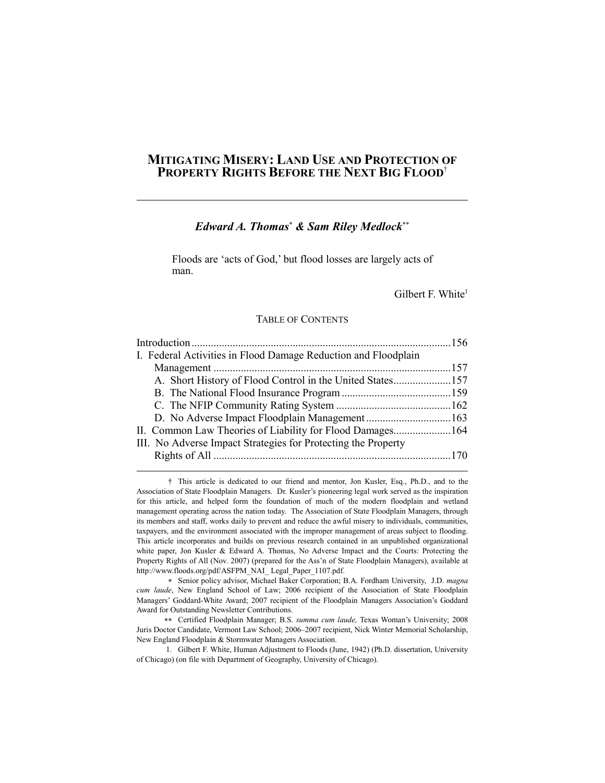# **MITIGATING MISERY: LAND USE AND PROTECTION OF PROPERTY RIGHTS BEFORE THE NEXT BIG FLOOD**†

# *Edward A. Thomas*<sup>∗</sup>  *& Sam Riley Medlock*∗∗

Floods are 'acts of God,' but flood losses are largely acts of man.

Gilbert F. White<sup>1</sup>

#### TABLE OF CONTENTS

| I. Federal Activities in Flood Damage Reduction and Floodplain |  |
|----------------------------------------------------------------|--|
|                                                                |  |
| A. Short History of Flood Control in the United States157      |  |
|                                                                |  |
|                                                                |  |
| D. No Adverse Impact Floodplain Management163                  |  |
| II. Common Law Theories of Liability for Flood Damages164      |  |
| III. No Adverse Impact Strategies for Protecting the Property  |  |
|                                                                |  |

 † This article is dedicated to our friend and mentor, Jon Kusler, Esq., Ph.D., and to the Association of State Floodplain Managers. Dr. Kusler's pioneering legal work served as the inspiration for this article, and helped form the foundation of much of the modern floodplain and wetland management operating across the nation today. The Association of State Floodplain Managers, through its members and staff, works daily to prevent and reduce the awful misery to individuals, communities, taxpayers, and the environment associated with the improper management of areas subject to flooding. This article incorporates and builds on previous research contained in an unpublished organizational white paper, Jon Kusler & Edward A. Thomas, No Adverse Impact and the Courts: Protecting the Property Rights of All (Nov. 2007) (prepared for the Ass'n of State Floodplain Managers), available at http://www.floods.org/pdf/ASFPM\_NAI\_ Legal\_Paper\_1107.pdf.

 $\overline{\phantom{a}}$ 

∗ Senior policy advisor, Michael Baker Corporation; B.A. Fordham University, J.D. *magna cum laude*, New England School of Law; 2006 recipient of the Association of State Floodplain Managers' Goddard-White Award; 2007 recipient of the Floodplain Managers Association's Goddard Award for Outstanding Newsletter Contributions.

∗∗ Certified Floodplain Manager; B.S. *summa cum laude,* Texas Woman's University; 2008 Juris Doctor Candidate, Vermont Law School; 2006–2007 recipient, Nick Winter Memorial Scholarship, New England Floodplain & Stormwater Managers Association.

 1. Gilbert F. White, Human Adjustment to Floods (June, 1942) (Ph.D. dissertation, University of Chicago) (on file with Department of Geography, University of Chicago).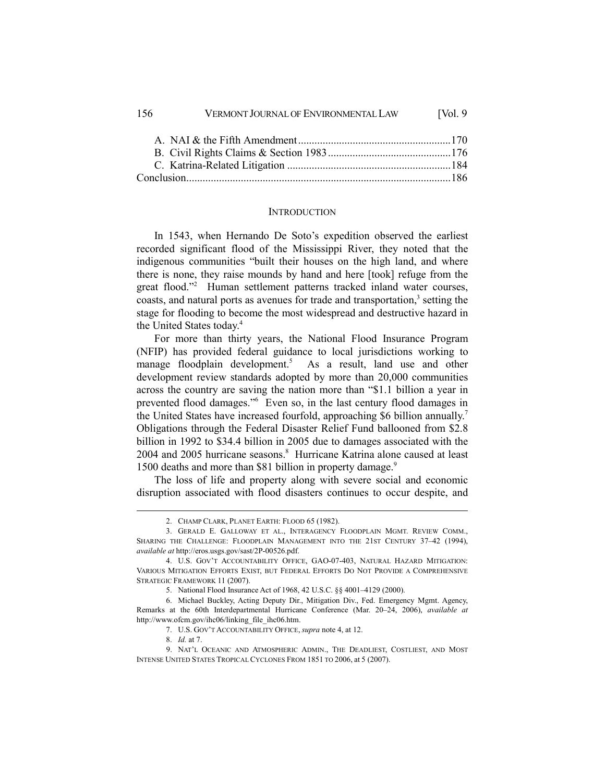156 VERMONT JOURNAL OF ENVIRONMENTAL LAW [Vol. 9

#### **INTRODUCTION**

In 1543, when Hernando De Soto's expedition observed the earliest recorded significant flood of the Mississippi River, they noted that the indigenous communities "built their houses on the high land, and where there is none, they raise mounds by hand and here [took] refuge from the great flood."2 Human settlement patterns tracked inland water courses, coasts, and natural ports as avenues for trade and transportation,<sup>3</sup> setting the stage for flooding to become the most widespread and destructive hazard in the United States today.4

For more than thirty years, the National Flood Insurance Program (NFIP) has provided federal guidance to local jurisdictions working to manage floodplain development.<sup>5</sup> As a result, land use and other development review standards adopted by more than 20,000 communities across the country are saving the nation more than "\$1.1 billion a year in prevented flood damages."6 Even so, in the last century flood damages in the United States have increased fourfold, approaching \$6 billion annually.7 Obligations through the Federal Disaster Relief Fund ballooned from \$2.8 billion in 1992 to \$34.4 billion in 2005 due to damages associated with the 2004 and 2005 hurricane seasons.<sup>8</sup> Hurricane Katrina alone caused at least 1500 deaths and more than \$81 billion in property damage.<sup>9</sup>

The loss of life and property along with severe social and economic disruption associated with flood disasters continues to occur despite, and

 <sup>2.</sup> CHAMP CLARK, PLANET EARTH: FLOOD 65 (1982).

 <sup>3.</sup> GERALD E. GALLOWAY ET AL., INTERAGENCY FLOODPLAIN MGMT. REVIEW COMM., SHARING THE CHALLENGE: FLOODPLAIN MANAGEMENT INTO THE 21ST CENTURY 37–42 (1994), *available at* http://eros.usgs.gov/sast/2P-00526.pdf.

 <sup>4.</sup> U.S. GOV'T ACCOUNTABILITY OFFICE, GAO-07-403, NATURAL HAZARD MITIGATION: VARIOUS MITIGATION EFFORTS EXIST, BUT FEDERAL EFFORTS DO NOT PROVIDE A COMPREHENSIVE STRATEGIC FRAMEWORK 11 (2007).

 <sup>5.</sup> National Flood Insurance Act of 1968, 42 U.S.C. §§ 4001–4129 (2000).

 <sup>6.</sup> Michael Buckley, Acting Deputy Dir., Mitigation Div., Fed. Emergency Mgmt. Agency, Remarks at the 60th Interdepartmental Hurricane Conference (Mar. 20–24, 2006), *available at* http://www.ofcm.gov/ihc06/linking\_file\_ihc06.htm.

 <sup>7.</sup> U.S. GOV'T ACCOUNTABILITY OFFICE, *supra* note 4, at 12.

 <sup>8.</sup> *Id.* at 7.

 <sup>9.</sup> NAT'L OCEANIC AND ATMOSPHERIC ADMIN., THE DEADLIEST, COSTLIEST, AND MOST INTENSE UNITED STATES TROPICAL CYCLONES FROM 1851 TO 2006, at 5 (2007).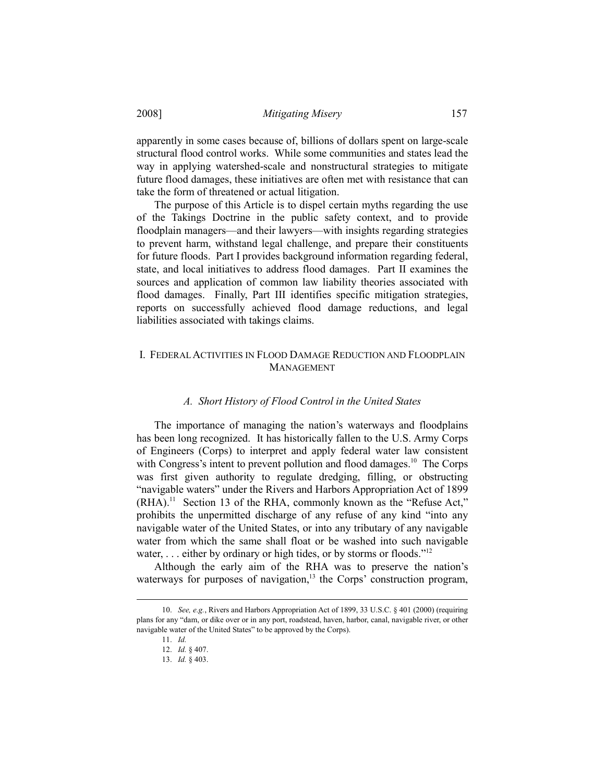apparently in some cases because of, billions of dollars spent on large-scale structural flood control works. While some communities and states lead the way in applying watershed-scale and nonstructural strategies to mitigate future flood damages, these initiatives are often met with resistance that can take the form of threatened or actual litigation.

The purpose of this Article is to dispel certain myths regarding the use of the Takings Doctrine in the public safety context, and to provide floodplain managers—and their lawyers—with insights regarding strategies to prevent harm, withstand legal challenge, and prepare their constituents for future floods. Part I provides background information regarding federal, state, and local initiatives to address flood damages. Part II examines the sources and application of common law liability theories associated with flood damages. Finally, Part III identifies specific mitigation strategies, reports on successfully achieved flood damage reductions, and legal liabilities associated with takings claims.

## I. FEDERAL ACTIVITIES IN FLOOD DAMAGE REDUCTION AND FLOODPLAIN MANAGEMENT

### *A. Short History of Flood Control in the United States*

The importance of managing the nation's waterways and floodplains has been long recognized. It has historically fallen to the U.S. Army Corps of Engineers (Corps) to interpret and apply federal water law consistent with Congress's intent to prevent pollution and flood damages.<sup>10</sup> The Corps was first given authority to regulate dredging, filling, or obstructing "navigable waters" under the Rivers and Harbors Appropriation Act of 1899  $(RHA).$ <sup>11</sup> Section 13 of the RHA, commonly known as the "Refuse Act," prohibits the unpermitted discharge of any refuse of any kind "into any navigable water of the United States, or into any tributary of any navigable water from which the same shall float or be washed into such navigable water, ... either by ordinary or high tides, or by storms or floods."<sup>12</sup>

Although the early aim of the RHA was to preserve the nation's waterways for purposes of navigation, $13$  the Corps' construction program,

 <sup>10.</sup> *See, e.g.*, Rivers and Harbors Appropriation Act of 1899, 33 U.S.C. § 401 (2000) (requiring plans for any "dam, or dike over or in any port, roadstead, haven, harbor, canal, navigable river, or other navigable water of the United States" to be approved by the Corps).

 <sup>11.</sup> *Id.*

 <sup>12.</sup> *Id.* § 407.

 <sup>13.</sup> *Id.* § 403.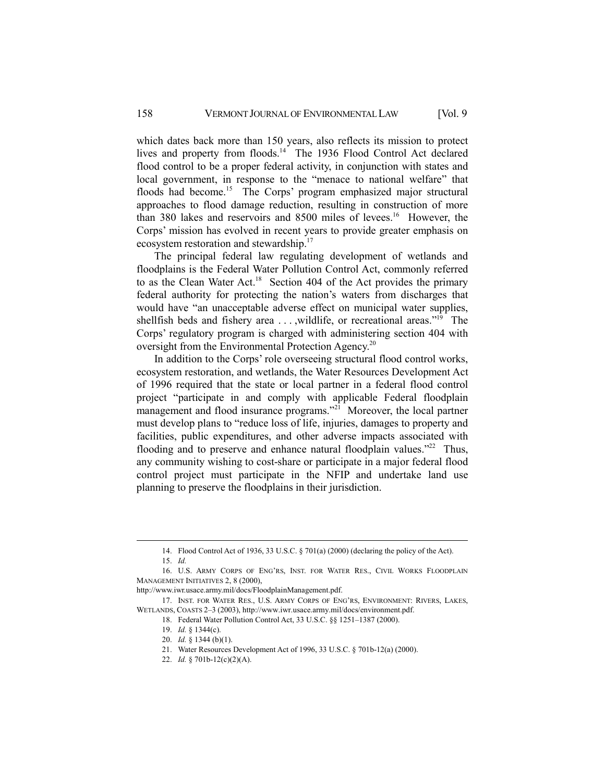which dates back more than 150 years, also reflects its mission to protect lives and property from floods.<sup>14</sup> The 1936 Flood Control Act declared flood control to be a proper federal activity, in conjunction with states and local government, in response to the "menace to national welfare" that floods had become.<sup>15</sup> The Corps' program emphasized major structural approaches to flood damage reduction, resulting in construction of more than 380 lakes and reservoirs and 8500 miles of levees.<sup>16</sup> However, the Corps' mission has evolved in recent years to provide greater emphasis on ecosystem restoration and stewardship.17

The principal federal law regulating development of wetlands and floodplains is the Federal Water Pollution Control Act, commonly referred to as the Clean Water Act.<sup>18</sup> Section 404 of the Act provides the primary federal authority for protecting the nation's waters from discharges that would have "an unacceptable adverse effect on municipal water supplies, shellfish beds and fishery area . . . ,wildlife, or recreational areas."19 The Corps' regulatory program is charged with administering section 404 with oversight from the Environmental Protection Agency.<sup>20</sup>

In addition to the Corps' role overseeing structural flood control works, ecosystem restoration, and wetlands, the Water Resources Development Act of 1996 required that the state or local partner in a federal flood control project "participate in and comply with applicable Federal floodplain management and flood insurance programs."<sup>21</sup> Moreover, the local partner must develop plans to "reduce loss of life, injuries, damages to property and facilities, public expenditures, and other adverse impacts associated with flooding and to preserve and enhance natural floodplain values."<sup>22</sup> Thus, any community wishing to cost-share or participate in a major federal flood control project must participate in the NFIP and undertake land use planning to preserve the floodplains in their jurisdiction.

 $\overline{\phantom{a}}$ 

22. *Id.* § 701b-12(c)(2)(A).

 <sup>14.</sup> Flood Control Act of 1936, 33 U.S.C. § 701(a) (2000) (declaring the policy of the Act).

 <sup>15.</sup> *Id.*

 <sup>16.</sup> U.S. ARMY CORPS OF ENG'RS, INST. FOR WATER RES., CIVIL WORKS FLOODPLAIN MANAGEMENT INITIATIVES 2, 8 (2000),

http://www.iwr.usace.army.mil/docs/FloodplainManagement.pdf.

 <sup>17.</sup> INST. FOR WATER RES., U.S. ARMY CORPS OF ENG'RS, ENVIRONMENT: RIVERS, LAKES, WETLANDS, COASTS 2–3 (2003), http://www.iwr.usace.army.mil/docs/environment.pdf.

 <sup>18.</sup> Federal Water Pollution Control Act, 33 U.S.C. §§ 1251–1387 (2000).

 <sup>19.</sup> *Id.* § 1344(c).

 <sup>20.</sup> *Id.* § 1344 (b)(1).

 <sup>21.</sup> Water Resources Development Act of 1996, 33 U.S.C. § 701b-12(a) (2000).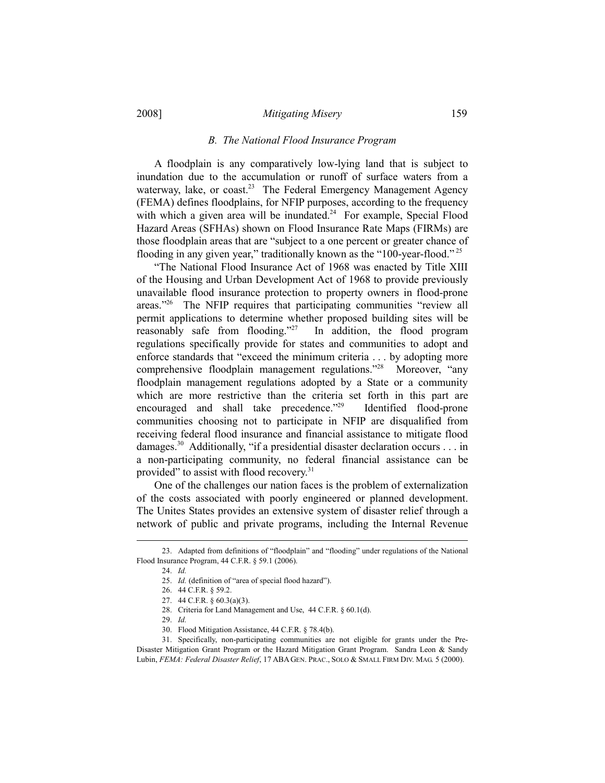#### *B. The National Flood Insurance Program*

A floodplain is any comparatively low-lying land that is subject to inundation due to the accumulation or runoff of surface waters from a waterway, lake, or coast.<sup>23</sup> The Federal Emergency Management Agency (FEMA) defines floodplains, for NFIP purposes, according to the frequency with which a given area will be inundated.<sup>24</sup> For example, Special Flood Hazard Areas (SFHAs) shown on Flood Insurance Rate Maps (FIRMs) are those floodplain areas that are "subject to a one percent or greater chance of flooding in any given year," traditionally known as the "100-year-flood."<sup>25</sup>

"The National Flood Insurance Act of 1968 was enacted by Title XIII of the Housing and Urban Development Act of 1968 to provide previously unavailable flood insurance protection to property owners in flood-prone areas."26 The NFIP requires that participating communities "review all permit applications to determine whether proposed building sites will be reasonably safe from flooding."<sup>27</sup> In addition, the flood program regulations specifically provide for states and communities to adopt and enforce standards that "exceed the minimum criteria . . . by adopting more comprehensive floodplain management regulations."<sup>28</sup> Moreover, "any floodplain management regulations adopted by a State or a community which are more restrictive than the criteria set forth in this part are encouraged and shall take precedence."<sup>29</sup> Identified flood-prone communities choosing not to participate in NFIP are disqualified from receiving federal flood insurance and financial assistance to mitigate flood damages.<sup>30</sup> Additionally, "if a presidential disaster declaration occurs . . . in a non-participating community, no federal financial assistance can be provided" to assist with flood recovery.<sup>31</sup>

One of the challenges our nation faces is the problem of externalization of the costs associated with poorly engineered or planned development. The Unites States provides an extensive system of disaster relief through a network of public and private programs, including the Internal Revenue

 <sup>23.</sup> Adapted from definitions of "floodplain" and "flooding" under regulations of the National Flood Insurance Program, 44 C.F.R. § 59.1 (2006).

 <sup>24.</sup> *Id.* 

 <sup>25.</sup> *Id.* (definition of "area of special flood hazard").

 <sup>26. 44</sup> C.F.R. § 59.2.

 <sup>27. 44</sup> C.F.R. § 60.3(a)(3).

 <sup>28.</sup> Criteria for Land Management and Use, 44 C.F.R. § 60.1(d).

 <sup>29.</sup> *Id.* 

 <sup>30.</sup> Flood Mitigation Assistance, 44 C.F.R. § 78.4(b).

 <sup>31.</sup> Specifically, non-participating communities are not eligible for grants under the Pre-Disaster Mitigation Grant Program or the Hazard Mitigation Grant Program. Sandra Leon & Sandy Lubin, *FEMA: Federal Disaster Relief*, 17 ABAGEN. PRAC., SOLO & SMALL FIRM DIV. MAG. 5 (2000).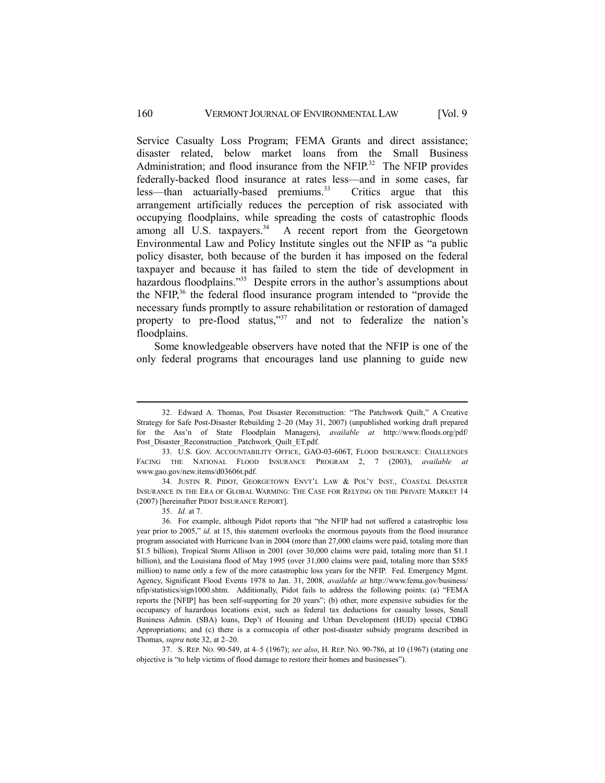## 160 VERMONT JOURNAL OF ENVIRONMENTAL LAW [Vol. 9

Service Casualty Loss Program; FEMA Grants and direct assistance; disaster related, below market loans from the Small Business Administration; and flood insurance from the NFIP.<sup>32</sup> The NFIP provides federally-backed flood insurance at rates less—and in some cases, far less—than actuarially-based premiums. $33$  Critics argue that this arrangement artificially reduces the perception of risk associated with occupying floodplains, while spreading the costs of catastrophic floods among all U.S. taxpayers. $34$  A recent report from the Georgetown Environmental Law and Policy Institute singles out the NFIP as "a public policy disaster, both because of the burden it has imposed on the federal taxpayer and because it has failed to stem the tide of development in hazardous floodplains."<sup>35</sup> Despite errors in the author's assumptions about the NFIP,<sup>36</sup> the federal flood insurance program intended to "provide the necessary funds promptly to assure rehabilitation or restoration of damaged property to pre-flood status,"37 and not to federalize the nation's floodplains.

Some knowledgeable observers have noted that the NFIP is one of the only federal programs that encourages land use planning to guide new

 <sup>32.</sup> Edward A. Thomas, Post Disaster Reconstruction: "The Patchwork Quilt," A Creative Strategy for Safe Post-Disaster Rebuilding 2–20 (May 31, 2007) (unpublished working draft prepared for the Ass'n of State Floodplain Managers), *available at* http://www.floods.org/pdf/ Post Disaster Reconstruction Patchwork Quilt ET.pdf.

 <sup>33.</sup> U.S. GOV. ACCOUNTABILITY OFFICE, GAO-03-606T, FLOOD INSURANCE: CHALLENGES FACING THE NATIONAL FLOOD INSURANCE PROGRAM 2, 7 (2003), *available at* www.gao.gov/new.items/d03606t.pdf.

 <sup>34.</sup> JUSTIN R. PIDOT, GEORGETOWN ENVT'L LAW & POL'Y INST., COASTAL DISASTER INSURANCE IN THE ERA OF GLOBAL WARMING: THE CASE FOR RELYING ON THE PRIVATE MARKET 14 (2007) [hereinafter PIDOT INSURANCE REPORT].

 <sup>35.</sup> *Id.* at 7.

 <sup>36.</sup> For example, although Pidot reports that "the NFIP had not suffered a catastrophic loss year prior to 2005," *id.* at 15, this statement overlooks the enormous payouts from the flood insurance program associated with Hurricane Ivan in 2004 (more than 27,000 claims were paid, totaling more than \$1.5 billion), Tropical Storm Allison in 2001 (over 30,000 claims were paid, totaling more than \$1.1 billion), and the Louisiana flood of May 1995 (over 31,000 claims were paid, totaling more than \$585 million) to name only a few of the more catastrophic loss years for the NFIP. Fed. Emergency Mgmt. Agency, Significant Flood Events 1978 to Jan. 31, 2008, *available at* http://www.fema.gov/business/ nfip/statistics/sign1000.shtm. Additionally, Pidot fails to address the following points: (a) "FEMA reports the [NFIP] has been self-supporting for 20 years"; (b) other, more expensive subsidies for the occupancy of hazardous locations exist, such as federal tax deductions for casualty losses, Small Business Admin. (SBA) loans, Dep't of Housing and Urban Development (HUD) special CDBG Appropriations; and (c) there is a cornucopia of other post-disaster subsidy programs described in Thomas, *supra* note 32, at 2–20.

 <sup>37.</sup> S. REP. NO. 90-549, at 4–5 (1967); *see also*, H. REP. NO. 90-786, at 10 (1967) (stating one objective is "to help victims of flood damage to restore their homes and businesses").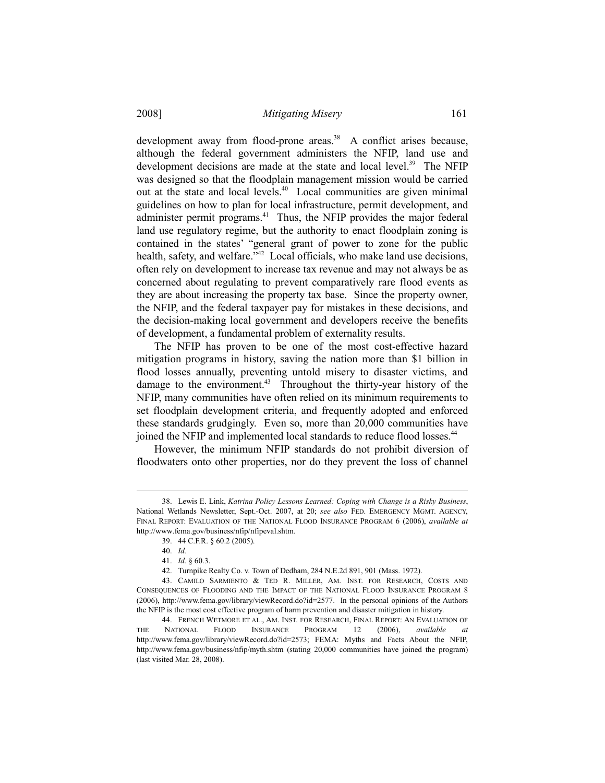development away from flood-prone areas.<sup>38</sup> A conflict arises because, although the federal government administers the NFIP, land use and development decisions are made at the state and local level.<sup>39</sup> The NFIP was designed so that the floodplain management mission would be carried out at the state and local levels.40 Local communities are given minimal guidelines on how to plan for local infrastructure, permit development, and administer permit programs.<sup>41</sup> Thus, the NFIP provides the major federal land use regulatory regime, but the authority to enact floodplain zoning is contained in the states' "general grant of power to zone for the public health, safety, and welfare.<sup>"42</sup> Local officials, who make land use decisions, often rely on development to increase tax revenue and may not always be as concerned about regulating to prevent comparatively rare flood events as they are about increasing the property tax base. Since the property owner, the NFIP, and the federal taxpayer pay for mistakes in these decisions, and the decision-making local government and developers receive the benefits of development, a fundamental problem of externality results.

The NFIP has proven to be one of the most cost-effective hazard mitigation programs in history, saving the nation more than \$1 billion in flood losses annually, preventing untold misery to disaster victims, and damage to the environment.<sup>43</sup> Throughout the thirty-year history of the NFIP, many communities have often relied on its minimum requirements to set floodplain development criteria, and frequently adopted and enforced these standards grudgingly. Even so, more than 20,000 communities have joined the NFIP and implemented local standards to reduce flood losses.<sup>44</sup>

However, the minimum NFIP standards do not prohibit diversion of floodwaters onto other properties, nor do they prevent the loss of channel

 <sup>38.</sup> Lewis E. Link, *Katrina Policy Lessons Learned: Coping with Change is a Risky Business*, National Wetlands Newsletter, Sept.-Oct. 2007, at 20; *see also* FED. EMERGENCY MGMT. AGENCY, FINAL REPORT: EVALUATION OF THE NATIONAL FLOOD INSURANCE PROGRAM 6 (2006), *available at*  http://www.fema.gov/business/nfip/nfipeval.shtm.

 <sup>39. 44</sup> C.F.R. § 60.2 (2005).

 <sup>40.</sup> *Id.* 

 <sup>41.</sup> *Id.* § 60.3.

 <sup>42.</sup> Turnpike Realty Co. v. Town of Dedham, 284 N.E.2d 891, 901 (Mass. 1972).

 <sup>43.</sup> CAMILO SARMIENTO & TED R. MILLER, AM. INST. FOR RESEARCH, COSTS AND CONSEQUENCES OF FLOODING AND THE IMPACT OF THE NATIONAL FLOOD INSURANCE PROGRAM 8 (2006), http://www.fema.gov/library/viewRecord.do?id=2577. In the personal opinions of the Authors the NFIP is the most cost effective program of harm prevention and disaster mitigation in history.

 <sup>44.</sup> FRENCH WETMORE ET AL., AM. INST. FOR RESEARCH, FINAL REPORT: AN EVALUATION OF THE NATIONAL FLOOD INSURANCE PROGRAM 12 (2006), *available at* http://www.fema.gov/library/viewRecord.do?id=2573; FEMA: Myths and Facts About the NFIP, http://www.fema.gov/business/nfip/myth.shtm (stating 20,000 communities have joined the program) (last visited Mar. 28, 2008).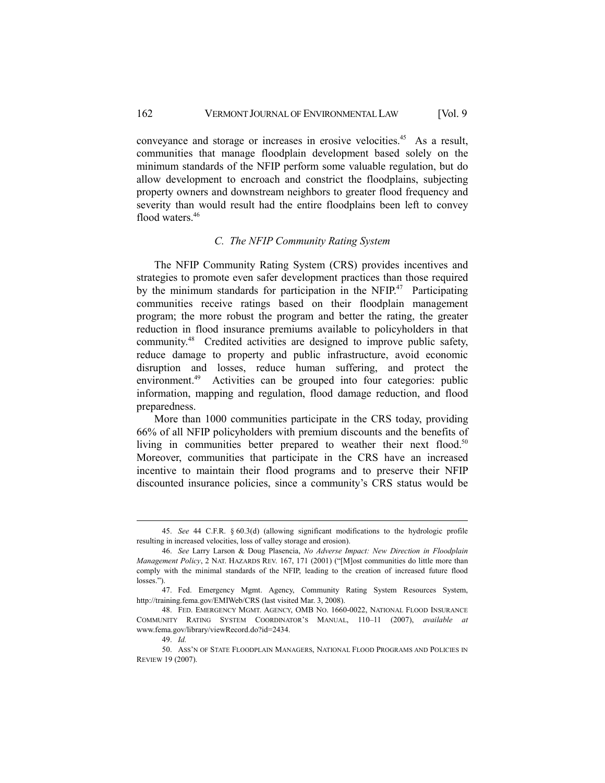conveyance and storage or increases in erosive velocities.<sup>45</sup> As a result, communities that manage floodplain development based solely on the minimum standards of the NFIP perform some valuable regulation, but do allow development to encroach and constrict the floodplains, subjecting property owners and downstream neighbors to greater flood frequency and severity than would result had the entire floodplains been left to convey flood waters.<sup>46</sup>

## *C. The NFIP Community Rating System*

The NFIP Community Rating System (CRS) provides incentives and strategies to promote even safer development practices than those required by the minimum standards for participation in the NFIP.<sup>47</sup> Participating communities receive ratings based on their floodplain management program; the more robust the program and better the rating, the greater reduction in flood insurance premiums available to policyholders in that community.48 Credited activities are designed to improve public safety, reduce damage to property and public infrastructure, avoid economic disruption and losses, reduce human suffering, and protect the environment.<sup>49</sup> Activities can be grouped into four categories: public information, mapping and regulation, flood damage reduction, and flood preparedness.

More than 1000 communities participate in the CRS today, providing 66% of all NFIP policyholders with premium discounts and the benefits of living in communities better prepared to weather their next flood.<sup>50</sup> Moreover, communities that participate in the CRS have an increased incentive to maintain their flood programs and to preserve their NFIP discounted insurance policies, since a community's CRS status would be

 <sup>45.</sup> *See* 44 C.F.R. § 60.3(d) (allowing significant modifications to the hydrologic profile resulting in increased velocities, loss of valley storage and erosion).

 <sup>46.</sup> *See* Larry Larson & Doug Plasencia, *No Adverse Impact: New Direction in Floodplain Management Policy*, 2 NAT. HAZARDS REV. 167, 171 (2001) ("[M]ost communities do little more than comply with the minimal standards of the NFIP, leading to the creation of increased future flood losses.").

 <sup>47.</sup> Fed. Emergency Mgmt. Agency, Community Rating System Resources System, http://training.fema.gov/EMIWeb/CRS (last visited Mar. 3, 2008).

 <sup>48.</sup> FED. EMERGENCY MGMT. AGENCY, OMB NO. 1660-0022, NATIONAL FLOOD INSURANCE COMMUNITY RATING SYSTEM COORDINATOR'S MANUAL, 110–11 (2007), *available at* www.fema.gov/library/viewRecord.do?id=2434.

 <sup>49.</sup> *Id.*

 <sup>50.</sup> ASS'N OF STATE FLOODPLAIN MANAGERS, NATIONAL FLOOD PROGRAMS AND POLICIES IN REVIEW 19 (2007).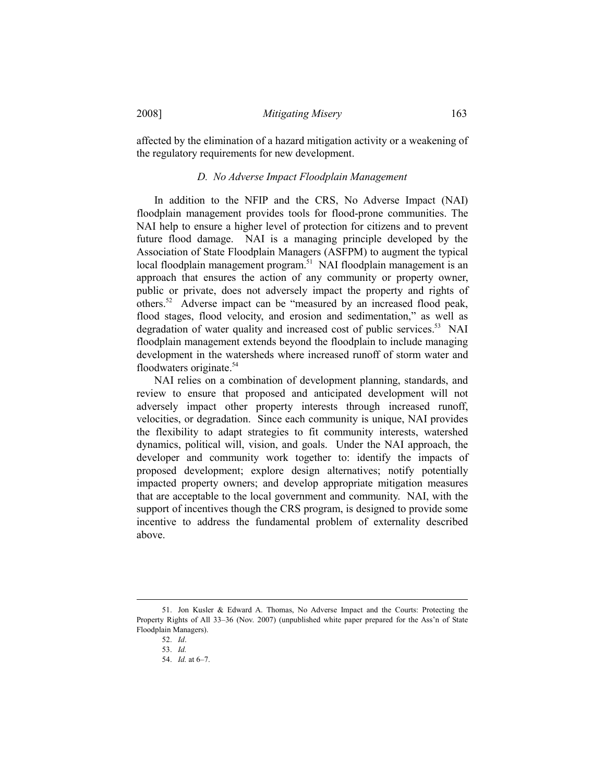affected by the elimination of a hazard mitigation activity or a weakening of the regulatory requirements for new development.

### *D. No Adverse Impact Floodplain Management*

In addition to the NFIP and the CRS, No Adverse Impact (NAI) floodplain management provides tools for flood-prone communities. The NAI help to ensure a higher level of protection for citizens and to prevent future flood damage. NAI is a managing principle developed by the Association of State Floodplain Managers (ASFPM) to augment the typical local floodplain management program.<sup>51</sup> NAI floodplain management is an approach that ensures the action of any community or property owner, public or private, does not adversely impact the property and rights of others.52 Adverse impact can be "measured by an increased flood peak, flood stages, flood velocity, and erosion and sedimentation," as well as degradation of water quality and increased cost of public services.<sup>53</sup> NAI floodplain management extends beyond the floodplain to include managing development in the watersheds where increased runoff of storm water and floodwaters originate.<sup>54</sup>

NAI relies on a combination of development planning, standards, and review to ensure that proposed and anticipated development will not adversely impact other property interests through increased runoff, velocities, or degradation. Since each community is unique, NAI provides the flexibility to adapt strategies to fit community interests, watershed dynamics, political will, vision, and goals. Under the NAI approach, the developer and community work together to: identify the impacts of proposed development; explore design alternatives; notify potentially impacted property owners; and develop appropriate mitigation measures that are acceptable to the local government and community. NAI, with the support of incentives though the CRS program, is designed to provide some incentive to address the fundamental problem of externality described above.

 <sup>51.</sup> Jon Kusler & Edward A. Thomas, No Adverse Impact and the Courts: Protecting the Property Rights of All 33–36 (Nov. 2007) (unpublished white paper prepared for the Ass'n of State Floodplain Managers).

 <sup>52.</sup> *Id*.

 <sup>53.</sup> *Id.*

 <sup>54.</sup> *Id.* at 6–7.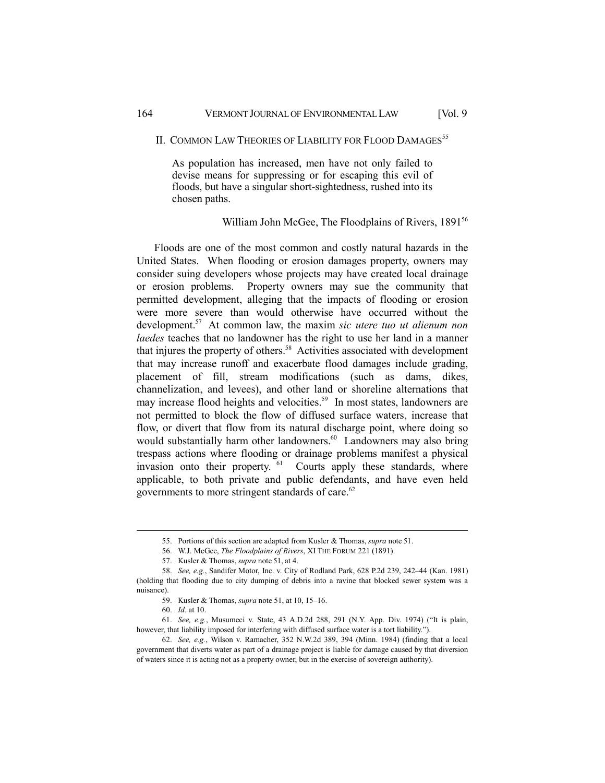#### II. COMMON LAW THEORIES OF LIABILITY FOR FLOOD DAMAGES<sup>55</sup>

As population has increased, men have not only failed to devise means for suppressing or for escaping this evil of floods, but have a singular short-sightedness, rushed into its chosen paths.

## William John McGee, The Floodplains of Rivers, 1891<sup>56</sup>

Floods are one of the most common and costly natural hazards in the United States. When flooding or erosion damages property, owners may consider suing developers whose projects may have created local drainage or erosion problems. Property owners may sue the community that permitted development, alleging that the impacts of flooding or erosion were more severe than would otherwise have occurred without the development.57 At common law, the maxim *sic utere tuo ut alienum non laedes* teaches that no landowner has the right to use her land in a manner that injures the property of others.<sup>58</sup> Activities associated with development that may increase runoff and exacerbate flood damages include grading, placement of fill, stream modifications (such as dams, dikes, channelization, and levees), and other land or shoreline alternations that may increase flood heights and velocities.<sup>59</sup> In most states, landowners are not permitted to block the flow of diffused surface waters, increase that flow, or divert that flow from its natural discharge point, where doing so would substantially harm other landowners.<sup>60</sup> Landowners may also bring trespass actions where flooding or drainage problems manifest a physical invasion onto their property. <sup>61</sup> Courts apply these standards, where applicable, to both private and public defendants, and have even held governments to more stringent standards of care.<sup>62</sup>

 <sup>55.</sup> Portions of this section are adapted from Kusler & Thomas, *supra* note 51.

 <sup>56.</sup> W.J. McGee, *The Floodplains of Rivers*, XI THE FORUM 221 (1891).

 <sup>57.</sup> Kusler & Thomas, *supra* note 51, at 4.

 <sup>58.</sup> *See, e.g.*, Sandifer Motor, Inc. v. City of Rodland Park, 628 P.2d 239, 242–44 (Kan. 1981) (holding that flooding due to city dumping of debris into a ravine that blocked sewer system was a nuisance).

 <sup>59.</sup> Kusler & Thomas, *supra* note 51, at 10, 15–16.

 <sup>60.</sup> *Id.* at 10.

 <sup>61.</sup> *See, e.g.*, Musumeci v. State, 43 A.D.2d 288, 291 (N.Y. App. Div. 1974) ("It is plain, however, that liability imposed for interfering with diffused surface water is a tort liability.").

 <sup>62.</sup> *See, e.g.*, Wilson v. Ramacher, 352 N.W.2d 389, 394 (Minn. 1984) (finding that a local government that diverts water as part of a drainage project is liable for damage caused by that diversion of waters since it is acting not as a property owner, but in the exercise of sovereign authority).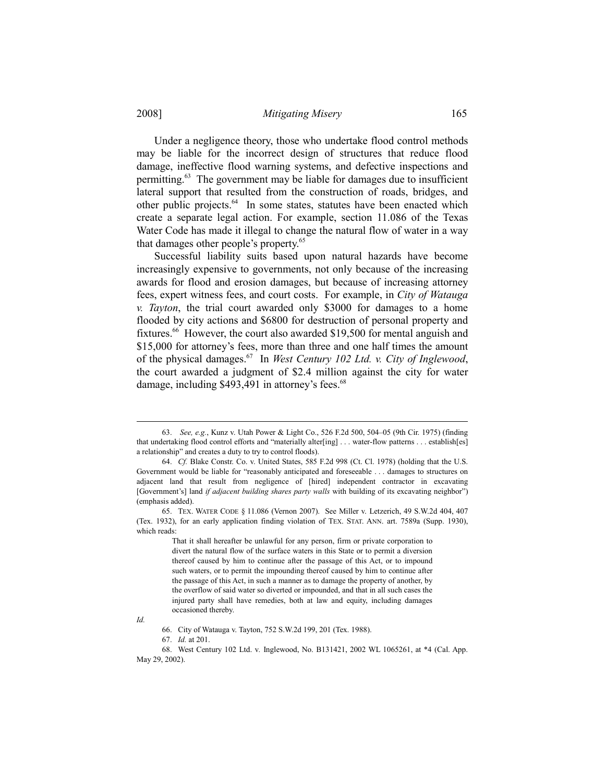Under a negligence theory, those who undertake flood control methods may be liable for the incorrect design of structures that reduce flood damage, ineffective flood warning systems, and defective inspections and permitting.63 The government may be liable for damages due to insufficient lateral support that resulted from the construction of roads, bridges, and other public projects.<sup>64</sup> In some states, statutes have been enacted which create a separate legal action. For example, section 11.086 of the Texas Water Code has made it illegal to change the natural flow of water in a way that damages other people's property.<sup>65</sup>

Successful liability suits based upon natural hazards have become increasingly expensive to governments, not only because of the increasing awards for flood and erosion damages, but because of increasing attorney fees, expert witness fees, and court costs. For example, in *City of Watauga v. Tayton*, the trial court awarded only \$3000 for damages to a home flooded by city actions and \$6800 for destruction of personal property and fixtures.<sup>66</sup> However, the court also awarded \$19,500 for mental anguish and \$15,000 for attorney's fees, more than three and one half times the amount of the physical damages.67 In *West Century 102 Ltd. v. City of Inglewood*, the court awarded a judgment of \$2.4 million against the city for water damage, including \$493,491 in attorney's fees.<sup>68</sup>

 <sup>63.</sup> *See, e.g.*, Kunz v. Utah Power & Light Co., 526 F.2d 500, 504–05 (9th Cir. 1975) (finding that undertaking flood control efforts and "materially alter[ing] . . . water-flow patterns . . . establish[es] a relationship" and creates a duty to try to control floods).

 <sup>64.</sup> *Cf.* Blake Constr. Co. v. United States, 585 F.2d 998 (Ct. Cl. 1978) (holding that the U.S. Government would be liable for "reasonably anticipated and foreseeable . . . damages to structures on adjacent land that result from negligence of [hired] independent contractor in excavating [Government's] land *if adjacent building shares party walls* with building of its excavating neighbor") (emphasis added).

 <sup>65.</sup> TEX. WATER CODE § 11.086 (Vernon 2007). See Miller v. Letzerich, 49 S.W.2d 404, 407 (Tex. 1932), for an early application finding violation of TEX. STAT. ANN. art. 7589a (Supp. 1930), which reads:

That it shall hereafter be unlawful for any person, firm or private corporation to divert the natural flow of the surface waters in this State or to permit a diversion thereof caused by him to continue after the passage of this Act, or to impound such waters, or to permit the impounding thereof caused by him to continue after the passage of this Act, in such a manner as to damage the property of another, by the overflow of said water so diverted or impounded, and that in all such cases the injured party shall have remedies, both at law and equity, including damages occasioned thereby.

*Id.* 

 <sup>66.</sup> City of Watauga v. Tayton, 752 S.W.2d 199, 201 (Tex. 1988).

 <sup>67.</sup> *Id.* at 201.

 <sup>68.</sup> West Century 102 Ltd. v*.* Inglewood, No. B131421, 2002 WL 1065261, at \*4 (Cal. App. May 29, 2002).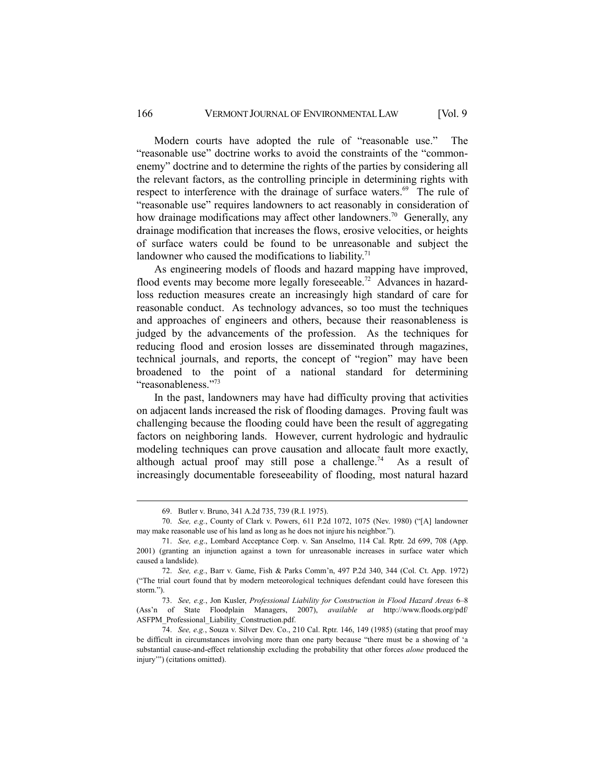Modern courts have adopted the rule of "reasonable use." The "reasonable use" doctrine works to avoid the constraints of the "commonenemy" doctrine and to determine the rights of the parties by considering all the relevant factors, as the controlling principle in determining rights with respect to interference with the drainage of surface waters.<sup>69</sup> The rule of "reasonable use" requires landowners to act reasonably in consideration of how drainage modifications may affect other landowners.<sup>70</sup> Generally, any drainage modification that increases the flows, erosive velocities, or heights of surface waters could be found to be unreasonable and subject the landowner who caused the modifications to liability.<sup>71</sup>

As engineering models of floods and hazard mapping have improved, flood events may become more legally foreseeable.<sup>72</sup> Advances in hazardloss reduction measures create an increasingly high standard of care for reasonable conduct. As technology advances, so too must the techniques and approaches of engineers and others, because their reasonableness is judged by the advancements of the profession. As the techniques for reducing flood and erosion losses are disseminated through magazines, technical journals, and reports, the concept of "region" may have been broadened to the point of a national standard for determining "reasonableness."73

In the past, landowners may have had difficulty proving that activities on adjacent lands increased the risk of flooding damages. Proving fault was challenging because the flooding could have been the result of aggregating factors on neighboring lands. However, current hydrologic and hydraulic modeling techniques can prove causation and allocate fault more exactly, although actual proof may still pose a challenge.<sup>74</sup> As a result of increasingly documentable foreseeability of flooding, most natural hazard

 <sup>69.</sup> Butler v. Bruno, 341 A.2d 735, 739 (R.I. 1975).

 <sup>70.</sup> *See, e.g.*, County of Clark v. Powers, 611 P.2d 1072, 1075 (Nev. 1980) ("[A] landowner may make reasonable use of his land as long as he does not injure his neighbor.").

 <sup>71.</sup> *See, e.g*., Lombard Acceptance Corp. v. San Anselmo, 114 Cal. Rptr. 2d 699, 708 (App. 2001) (granting an injunction against a town for unreasonable increases in surface water which caused a landslide).

 <sup>72.</sup> *See, e.g.*, Barr v. Game, Fish & Parks Comm'n, 497 P.2d 340, 344 (Col. Ct. App. 1972) ("The trial court found that by modern meteorological techniques defendant could have foreseen this storm.").

 <sup>73.</sup> *See, e.g.*, Jon Kusler, *Professional Liability for Construction in Flood Hazard Areas* 6–8 (Ass'n of State Floodplain Managers, 2007), *available at* http://www.floods.org/pdf/ ASFPM\_Professional\_Liability\_Construction.pdf.

 <sup>74.</sup> *See, e.g.*, Souza v. Silver Dev. Co., 210 Cal. Rptr. 146, 149 (1985) (stating that proof may be difficult in circumstances involving more than one party because "there must be a showing of 'a substantial cause-and-effect relationship excluding the probability that other forces *alone* produced the injury'") (citations omitted).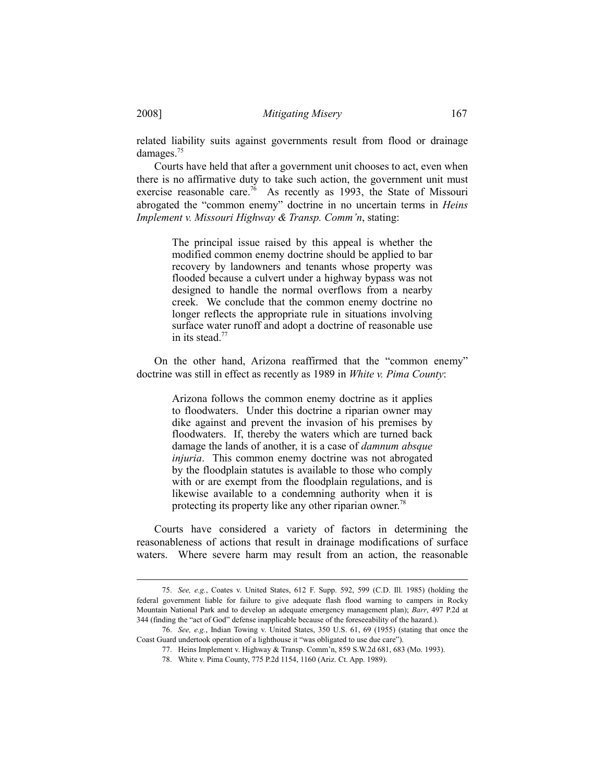related liability suits against governments result from flood or drainage damages.75

Courts have held that after a government unit chooses to act, even when there is no affirmative duty to take such action, the government unit must exercise reasonable care.<sup>76</sup> As recently as 1993, the State of Missouri abrogated the "common enemy" doctrine in no uncertain terms in *Heins Implement v. Missouri Highway & Transp. Comm'n*, stating:

> The principal issue raised by this appeal is whether the modified common enemy doctrine should be applied to bar recovery by landowners and tenants whose property was flooded because a culvert under a highway bypass was not designed to handle the normal overflows from a nearby creek. We conclude that the common enemy doctrine no longer reflects the appropriate rule in situations involving surface water runoff and adopt a doctrine of reasonable use in its stead  $77$

On the other hand, Arizona reaffirmed that the "common enemy" doctrine was still in effect as recently as 1989 in *White v. Pima County*:

> Arizona follows the common enemy doctrine as it applies to floodwaters. Under this doctrine a riparian owner may dike against and prevent the invasion of his premises by floodwaters. If, thereby the waters which are turned back damage the lands of another, it is a case of *damnum absque injuria*. This common enemy doctrine was not abrogated by the floodplain statutes is available to those who comply with or are exempt from the floodplain regulations, and is likewise available to a condemning authority when it is protecting its property like any other riparian owner.<sup>78</sup>

Courts have considered a variety of factors in determining the reasonableness of actions that result in drainage modifications of surface waters. Where severe harm may result from an action, the reasonable

 <sup>75.</sup> *See, e.g.*, Coates v. United States, 612 F. Supp. 592, 599 (C.D. Ill. 1985) (holding the federal government liable for failure to give adequate flash flood warning to campers in Rocky Mountain National Park and to develop an adequate emergency management plan); *Barr*, 497 P.2d at 344 (finding the "act of God" defense inapplicable because of the foreseeability of the hazard.).

 <sup>76.</sup> *See, e.g.*, Indian Towing v. United States, 350 U.S. 61, 69 (1955) (stating that once the Coast Guard undertook operation of a lighthouse it "was obligated to use due care").

 <sup>77.</sup> Heins Implement v. Highway & Transp. Comm'n, 859 S.W.2d 681, 683 (Mo. 1993).

 <sup>78.</sup> White v. Pima County, 775 P.2d 1154, 1160 (Ariz. Ct. App. 1989).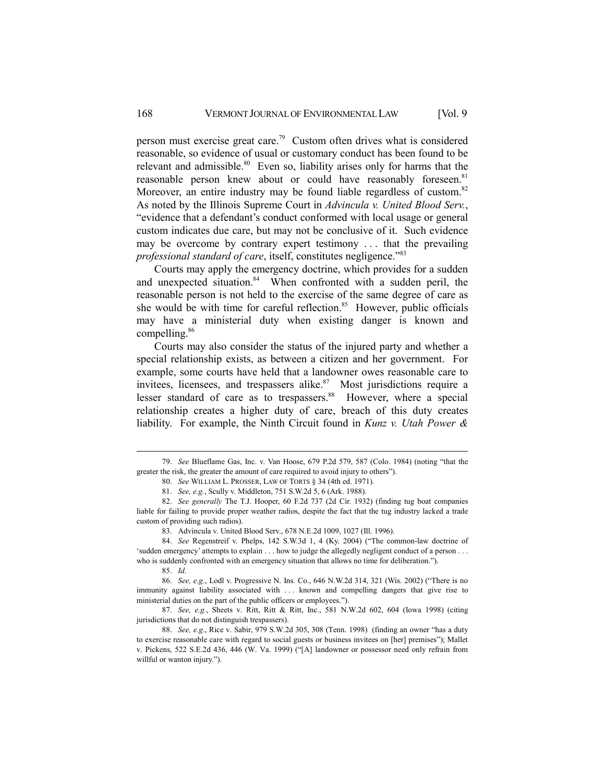person must exercise great care.79 Custom often drives what is considered reasonable, so evidence of usual or customary conduct has been found to be relevant and admissible.<sup>80</sup> Even so, liability arises only for harms that the reasonable person knew about or could have reasonably foreseen.<sup>81</sup> Moreover, an entire industry may be found liable regardless of custom.<sup>82</sup> As noted by the Illinois Supreme Court in *Advincula v. United Blood Serv.*, "evidence that a defendant's conduct conformed with local usage or general custom indicates due care, but may not be conclusive of it. Such evidence may be overcome by contrary expert testimony . . . that the prevailing *professional standard of care*, itself, constitutes negligence."<sup>83</sup>

Courts may apply the emergency doctrine, which provides for a sudden and unexpected situation.<sup>84</sup> When confronted with a sudden peril, the reasonable person is not held to the exercise of the same degree of care as she would be with time for careful reflection.<sup>85</sup> However, public officials may have a ministerial duty when existing danger is known and compelling.<sup>86</sup>

Courts may also consider the status of the injured party and whether a special relationship exists, as between a citizen and her government. For example, some courts have held that a landowner owes reasonable care to invitees, licensees, and trespassers alike.<sup>87</sup> Most jurisdictions require a lesser standard of care as to trespassers.<sup>88</sup> However, where a special relationship creates a higher duty of care, breach of this duty creates liability. For example, the Ninth Circuit found in *Kunz v. Utah Power &* 

 <sup>79.</sup> *See* Blueflame Gas, Inc. v. Van Hoose, 679 P.2d 579, 587 (Colo. 1984) (noting "that the greater the risk, the greater the amount of care required to avoid injury to others").

 <sup>80.</sup> *See* WILLIAM L. PROSSER, LAW OF TORTS § 34 (4th ed. 1971).

 <sup>81.</sup> *See, e.g.*, Scully v. Middleton, 751 S.W.2d 5, 6 (Ark. 1988).

 <sup>82.</sup> *See generally* The T.J. Hooper, 60 F.2d 737 (2d Cir. 1932) (finding tug boat companies liable for failing to provide proper weather radios, despite the fact that the tug industry lacked a trade custom of providing such radios).

 <sup>83.</sup> Advincula v. United Blood Serv., 678 N.E.2d 1009, 1027 (Ill. 1996).

 <sup>84.</sup> *See* Regenstreif v. Phelps, 142 S.W.3d 1, 4 (Ky. 2004) ("The common-law doctrine of 'sudden emergency' attempts to explain . . . how to judge the allegedly negligent conduct of a person . . . who is suddenly confronted with an emergency situation that allows no time for deliberation.").

 <sup>85.</sup> *Id.*

 <sup>86.</sup> *See, e.g.*, Lodl v. Progressive N. Ins. Co., 646 N.W.2d 314, 321 (Wis. 2002) ("There is no immunity against liability associated with . . . known and compelling dangers that give rise to ministerial duties on the part of the public officers or employees.").

 <sup>87.</sup> *See, e.g.*, Sheets v. Ritt, Ritt & Ritt, Inc., 581 N.W.2d 602, 604 (Iowa 1998) (citing jurisdictions that do not distinguish trespassers).

 <sup>88.</sup> *See, e.g*., Rice v. Sabir, 979 S.W.2d 305, 308 (Tenn. 1998) (finding an owner "has a duty to exercise reasonable care with regard to social guests or business invitees on [her] premises"); Mallet v. Pickens, 522 S.E.2d 436, 446 (W. Va. 1999) ("[A] landowner or possessor need only refrain from willful or wanton injury.").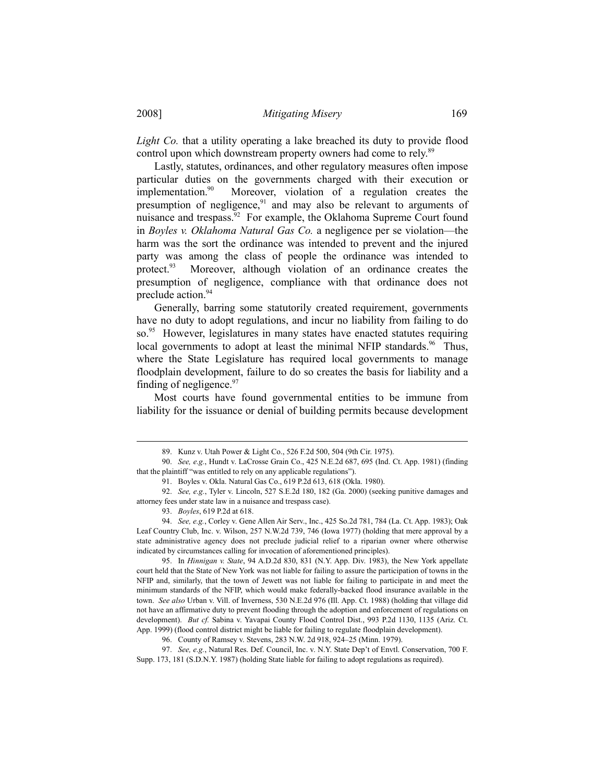*Light Co.* that a utility operating a lake breached its duty to provide flood control upon which downstream property owners had come to rely.<sup>89</sup>

Lastly, statutes, ordinances, and other regulatory measures often impose particular duties on the governments charged with their execution or implementation.<sup>90</sup> Moreover, violation of a regulation creates the presumption of negligence, $91$  and may also be relevant to arguments of nuisance and trespass.<sup>92</sup> For example, the Oklahoma Supreme Court found in *Boyles v. Oklahoma Natural Gas Co.* a negligence per se violation—the harm was the sort the ordinance was intended to prevent and the injured party was among the class of people the ordinance was intended to protect.<sup>93</sup> Moreover, although violation of an ordinance creates the presumption of negligence, compliance with that ordinance does not preclude action.<sup>94</sup>

Generally, barring some statutorily created requirement, governments have no duty to adopt regulations, and incur no liability from failing to do so.<sup>95</sup> However, legislatures in many states have enacted statutes requiring local governments to adopt at least the minimal NFIP standards.<sup>96</sup> Thus, where the State Legislature has required local governments to manage floodplain development, failure to do so creates the basis for liability and a finding of negligence. $97$ 

Most courts have found governmental entities to be immune from liability for the issuance or denial of building permits because development

 95. In *Hinnigan v. State*, 94 A.D.2d 830, 831 (N.Y. App. Div. 1983), the New York appellate court held that the State of New York was not liable for failing to assure the participation of towns in the NFIP and, similarly, that the town of Jewett was not liable for failing to participate in and meet the minimum standards of the NFIP, which would make federally-backed flood insurance available in the town. *See also* Urban v. Vill. of Inverness, 530 N.E.2d 976 (Ill. App. Ct. 1988) (holding that village did not have an affirmative duty to prevent flooding through the adoption and enforcement of regulations on development). *But cf.* Sabina v. Yavapai County Flood Control Dist., 993 P.2d 1130, 1135 (Ariz. Ct. App. 1999) (flood control district might be liable for failing to regulate floodplain development).

 97. *See, e.g.*, Natural Res. Def. Council, Inc. v. N.Y. State Dep't of Envtl. Conservation, 700 F. Supp. 173, 181 (S.D.N.Y. 1987) (holding State liable for failing to adopt regulations as required).

 <sup>89.</sup> Kunz v. Utah Power & Light Co., 526 F.2d 500, 504 (9th Cir. 1975).

 <sup>90.</sup> *See, e.g.*, Hundt v. LaCrosse Grain Co., 425 N.E.2d 687, 695 (Ind. Ct. App. 1981) (finding that the plaintiff "was entitled to rely on any applicable regulations").

 <sup>91.</sup> Boyles v. Okla. Natural Gas Co., 619 P.2d 613, 618 (Okla. 1980).

 <sup>92.</sup> *See, e.g.*, Tyler v. Lincoln, 527 S.E.2d 180, 182 (Ga. 2000) (seeking punitive damages and attorney fees under state law in a nuisance and trespass case).

 <sup>93.</sup> *Boyles*, 619 P.2d at 618.

 <sup>94.</sup> *See, e.g.*, Corley v. Gene Allen Air Serv., Inc., 425 So.2d 781, 784 (La. Ct. App. 1983); Oak Leaf Country Club, Inc. v. Wilson, 257 N.W.2d 739, 746 (Iowa 1977) (holding that mere approval by a state administrative agency does not preclude judicial relief to a riparian owner where otherwise indicated by circumstances calling for invocation of aforementioned principles).

 <sup>96.</sup> County of Ramsey v. Stevens, 283 N.W. 2d 918, 924–25 (Minn. 1979).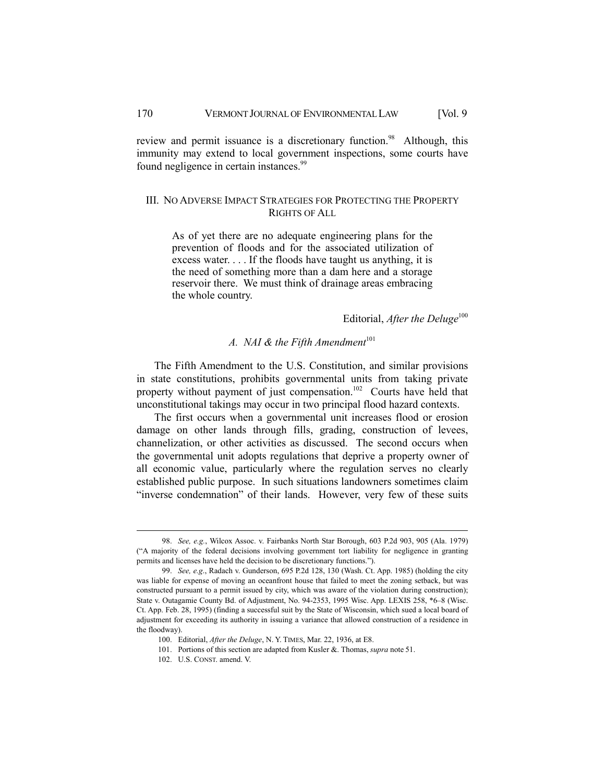review and permit issuance is a discretionary function.<sup>98</sup> Although, this immunity may extend to local government inspections, some courts have found negligence in certain instances.<sup>99</sup>

## III. NO ADVERSE IMPACT STRATEGIES FOR PROTECTING THE PROPERTY RIGHTS OF ALL

As of yet there are no adequate engineering plans for the prevention of floods and for the associated utilization of excess water. . . . If the floods have taught us anything, it is the need of something more than a dam here and a storage reservoir there. We must think of drainage areas embracing the whole country.

Editorial, *After the Deluge*<sup>100</sup>

## *A. NAI & the Fifth Amendment*<sup>101</sup>

The Fifth Amendment to the U.S. Constitution, and similar provisions in state constitutions, prohibits governmental units from taking private property without payment of just compensation.<sup>102</sup> Courts have held that unconstitutional takings may occur in two principal flood hazard contexts.

The first occurs when a governmental unit increases flood or erosion damage on other lands through fills, grading, construction of levees, channelization, or other activities as discussed. The second occurs when the governmental unit adopts regulations that deprive a property owner of all economic value, particularly where the regulation serves no clearly established public purpose. In such situations landowners sometimes claim "inverse condemnation" of their lands. However, very few of these suits

 <sup>98.</sup> *See, e.g.*, Wilcox Assoc. v. Fairbanks North Star Borough, 603 P.2d 903, 905 (Ala. 1979) ("A majority of the federal decisions involving government tort liability for negligence in granting permits and licenses have held the decision to be discretionary functions.").

 <sup>99.</sup> *See, e.g*., Radach v. Gunderson, 695 P.2d 128, 130 (Wash. Ct. App. 1985) (holding the city was liable for expense of moving an oceanfront house that failed to meet the zoning setback, but was constructed pursuant to a permit issued by city, which was aware of the violation during construction); State v. Outagamie County Bd. of Adjustment, No. 94-2353, 1995 Wisc. App. LEXIS 258, \*6–8 (Wisc. Ct. App. Feb. 28, 1995) (finding a successful suit by the State of Wisconsin, which sued a local board of adjustment for exceeding its authority in issuing a variance that allowed construction of a residence in the floodway).

 <sup>100.</sup> Editorial, *After the Deluge*, N. Y. TIMES, Mar. 22, 1936, at E8.

 <sup>101.</sup> Portions of this section are adapted from Kusler &. Thomas, *supra* note 51.

 <sup>102.</sup> U.S. CONST. amend. V.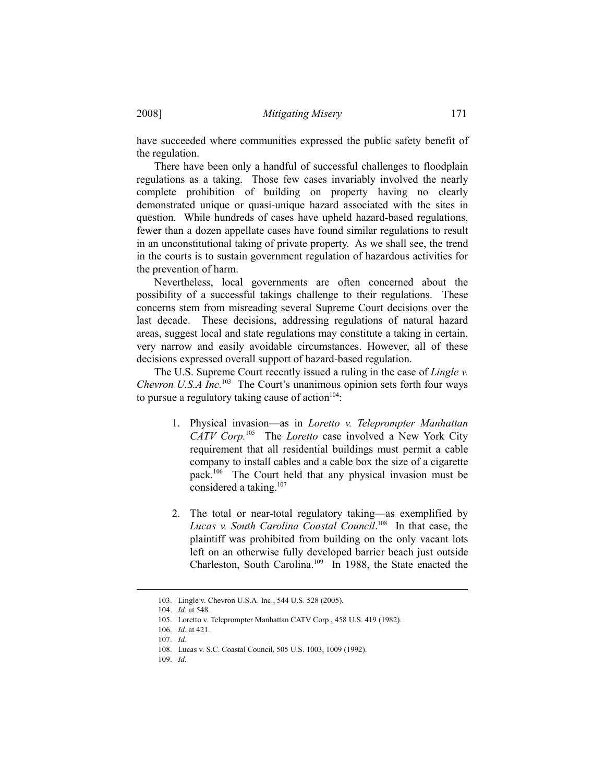have succeeded where communities expressed the public safety benefit of the regulation.

There have been only a handful of successful challenges to floodplain regulations as a taking. Those few cases invariably involved the nearly complete prohibition of building on property having no clearly demonstrated unique or quasi-unique hazard associated with the sites in question. While hundreds of cases have upheld hazard-based regulations, fewer than a dozen appellate cases have found similar regulations to result in an unconstitutional taking of private property. As we shall see, the trend in the courts is to sustain government regulation of hazardous activities for the prevention of harm.

Nevertheless, local governments are often concerned about the possibility of a successful takings challenge to their regulations. These concerns stem from misreading several Supreme Court decisions over the last decade. These decisions, addressing regulations of natural hazard areas, suggest local and state regulations may constitute a taking in certain, very narrow and easily avoidable circumstances. However, all of these decisions expressed overall support of hazard-based regulation.

The U.S. Supreme Court recently issued a ruling in the case of *Lingle v. Chevron U.S.A Inc.*<sup>103</sup> The Court's unanimous opinion sets forth four ways to pursue a regulatory taking cause of action<sup>104</sup>:

- 1. Physical invasion—as in *Loretto v. Teleprompter Manhattan CATV Corp.*<sup>105</sup>The *Loretto* case involved a New York City requirement that all residential buildings must permit a cable company to install cables and a cable box the size of a cigarette pack.106 The Court held that any physical invasion must be considered a taking. $107$
- 2. The total or near-total regulatory taking—as exemplified by *Lucas v. South Carolina Coastal Council*. 108 In that case, the plaintiff was prohibited from building on the only vacant lots left on an otherwise fully developed barrier beach just outside Charleston, South Carolina.109 In 1988, the State enacted the

 <sup>103.</sup> Lingle v. Chevron U.S.A. Inc., 544 U.S. 528 (2005).

 <sup>104.</sup> *Id*. at 548.

 <sup>105.</sup> Loretto v. Teleprompter Manhattan CATV Corp., 458 U.S. 419 (1982).

 <sup>106.</sup> *Id.* at 421.

 <sup>107.</sup> *Id.*

 <sup>108.</sup> Lucas v. S.C. Coastal Council, 505 U.S. 1003, 1009 (1992).

 <sup>109.</sup> *Id*.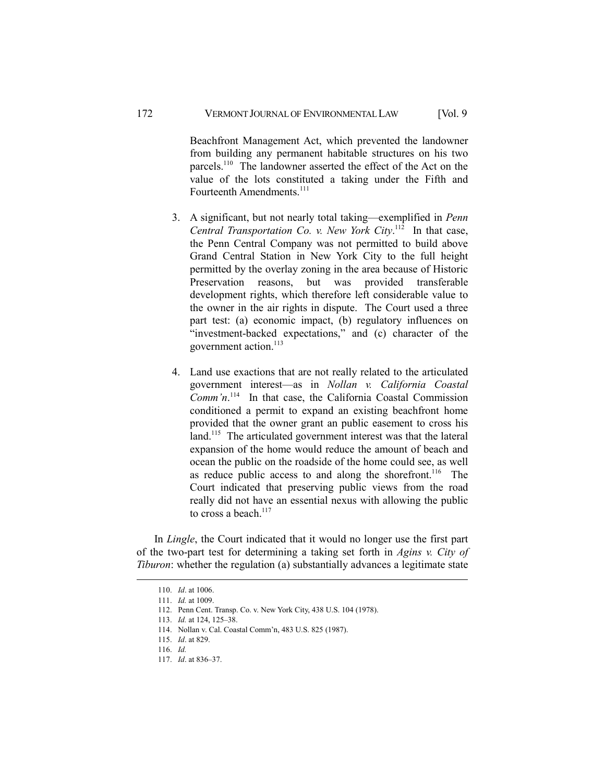Beachfront Management Act, which prevented the landowner from building any permanent habitable structures on his two parcels.110 The landowner asserted the effect of the Act on the value of the lots constituted a taking under the Fifth and Fourteenth Amendments.111

- 3. A significant, but not nearly total taking—exemplified in *Penn Central Transportation Co. v. New York City*. 112 In that case, the Penn Central Company was not permitted to build above Grand Central Station in New York City to the full height permitted by the overlay zoning in the area because of Historic Preservation reasons, but was provided transferable development rights, which therefore left considerable value to the owner in the air rights in dispute. The Court used a three part test: (a) economic impact, (b) regulatory influences on "investment-backed expectations," and (c) character of the government action.<sup>113</sup>
- 4. Land use exactions that are not really related to the articulated government interest—as in *Nollan v. California Coastal*  Comm'n.<sup>114</sup> In that case, the California Coastal Commission conditioned a permit to expand an existing beachfront home provided that the owner grant an public easement to cross his land.<sup>115</sup> The articulated government interest was that the lateral expansion of the home would reduce the amount of beach and ocean the public on the roadside of the home could see, as well as reduce public access to and along the shorefront.<sup>116</sup> The Court indicated that preserving public views from the road really did not have an essential nexus with allowing the public to cross a beach  $117$

In *Lingle*, the Court indicated that it would no longer use the first part of the two-part test for determining a taking set forth in *Agins v. City of Tiburon*: whether the regulation (a) substantially advances a legitimate state

 <sup>110.</sup> *Id*. at 1006.

 <sup>111.</sup> *Id.* at 1009.

 <sup>112.</sup> Penn Cent. Transp. Co. v. New York City, 438 U.S. 104 (1978).

 <sup>113.</sup> *Id.* at 124, 125–38.

 <sup>114.</sup> Nollan v. Cal. Coastal Comm'n, 483 U.S. 825 (1987).

 <sup>115.</sup> *Id*. at 829.

 <sup>116.</sup> *Id.*

 <sup>117.</sup> *Id*. at 836–37.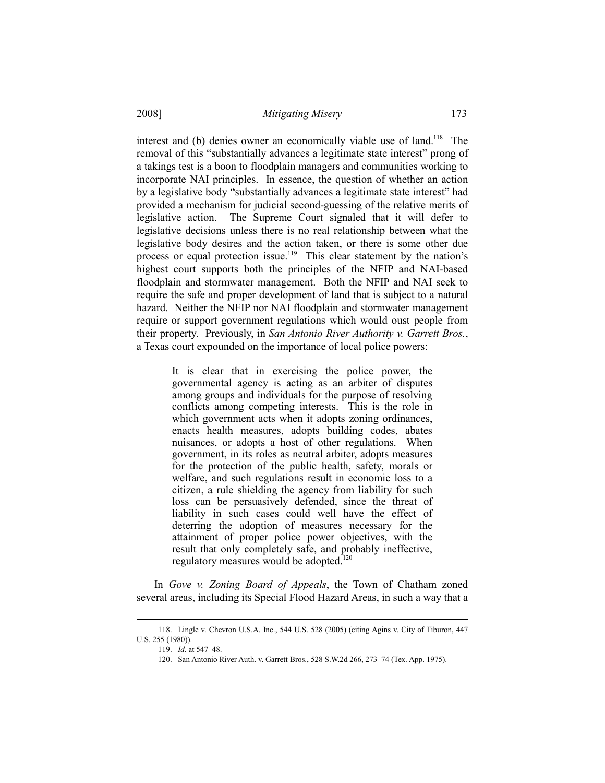interest and (b) denies owner an economically viable use of land.<sup>118</sup> The removal of this "substantially advances a legitimate state interest" prong of a takings test is a boon to floodplain managers and communities working to incorporate NAI principles. In essence, the question of whether an action by a legislative body "substantially advances a legitimate state interest" had provided a mechanism for judicial second-guessing of the relative merits of legislative action. The Supreme Court signaled that it will defer to legislative decisions unless there is no real relationship between what the legislative body desires and the action taken, or there is some other due process or equal protection issue.<sup>119</sup> This clear statement by the nation's highest court supports both the principles of the NFIP and NAI-based floodplain and stormwater management. Both the NFIP and NAI seek to require the safe and proper development of land that is subject to a natural hazard. Neither the NFIP nor NAI floodplain and stormwater management require or support government regulations which would oust people from their property. Previously, in *San Antonio River Authority v. Garrett Bros.*, a Texas court expounded on the importance of local police powers:

> It is clear that in exercising the police power, the governmental agency is acting as an arbiter of disputes among groups and individuals for the purpose of resolving conflicts among competing interests. This is the role in which government acts when it adopts zoning ordinances, enacts health measures, adopts building codes, abates nuisances, or adopts a host of other regulations. When government, in its roles as neutral arbiter, adopts measures for the protection of the public health, safety, morals or welfare, and such regulations result in economic loss to a citizen, a rule shielding the agency from liability for such loss can be persuasively defended, since the threat of liability in such cases could well have the effect of deterring the adoption of measures necessary for the attainment of proper police power objectives, with the result that only completely safe, and probably ineffective, regulatory measures would be adopted.120

In *Gove v. Zoning Board of Appeals*, the Town of Chatham zoned several areas, including its Special Flood Hazard Areas, in such a way that a

 <sup>118.</sup> Lingle v. Chevron U.S.A. Inc., 544 U.S. 528 (2005) (citing Agins v. City of Tiburon, 447 U.S. 255 (1980)).

 <sup>119.</sup> *Id.* at 547–48.

 <sup>120.</sup> San Antonio River Auth. v. Garrett Bros., 528 S.W.2d 266, 273–74 (Tex. App. 1975).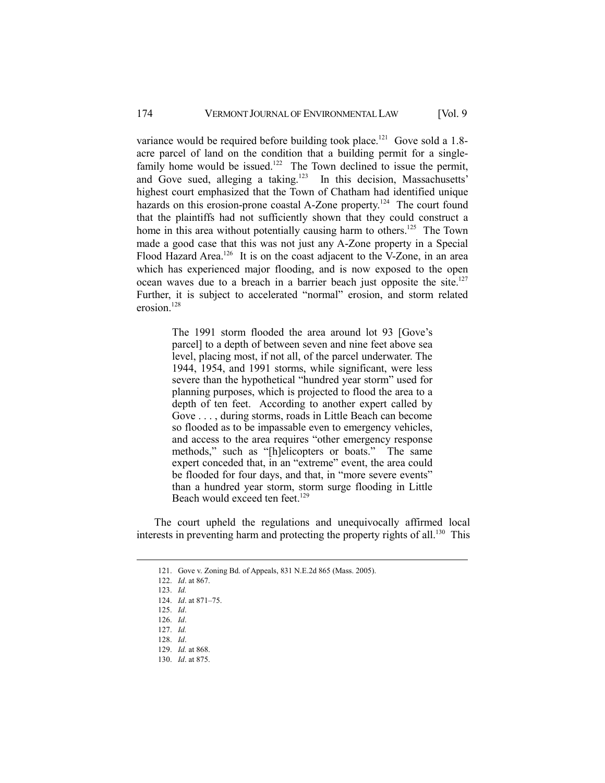variance would be required before building took place.<sup>121</sup> Gove sold a 1.8acre parcel of land on the condition that a building permit for a singlefamily home would be issued.<sup>122</sup> The Town declined to issue the permit, and Gove sued, alleging a taking.<sup>123</sup> In this decision, Massachusetts' highest court emphasized that the Town of Chatham had identified unique hazards on this erosion-prone coastal A-Zone property.<sup>124</sup> The court found that the plaintiffs had not sufficiently shown that they could construct a home in this area without potentially causing harm to others.<sup>125</sup> The Town made a good case that this was not just any A-Zone property in a Special Flood Hazard Area.<sup>126</sup> It is on the coast adjacent to the V-Zone, in an area which has experienced major flooding, and is now exposed to the open ocean waves due to a breach in a barrier beach just opposite the site.127 Further, it is subject to accelerated "normal" erosion, and storm related erosion.<sup>128</sup>

> The 1991 storm flooded the area around lot 93 [Gove's parcel] to a depth of between seven and nine feet above sea level, placing most, if not all, of the parcel underwater. The 1944, 1954, and 1991 storms, while significant, were less severe than the hypothetical "hundred year storm" used for planning purposes, which is projected to flood the area to a depth of ten feet. According to another expert called by Gove . . . , during storms, roads in Little Beach can become so flooded as to be impassable even to emergency vehicles, and access to the area requires "other emergency response methods," such as "[h]elicopters or boats." The same expert conceded that, in an "extreme" event, the area could be flooded for four days, and that, in "more severe events" than a hundred year storm, storm surge flooding in Little Beach would exceed ten feet.<sup>129</sup>

The court upheld the regulations and unequivocally affirmed local interests in preventing harm and protecting the property rights of all.<sup>130</sup> This

 <sup>121.</sup> Gove v. Zoning Bd. of Appeals, 831 N.E.2d 865 (Mass. 2005).

 <sup>122.</sup> *Id*. at 867.

 <sup>123.</sup> *Id.* 

 <sup>124.</sup> *Id*. at 871–75.

 <sup>125.</sup> *Id*.

 <sup>126.</sup> *Id*.

 <sup>127.</sup> *Id.*

 <sup>128.</sup> *Id*.

 <sup>129.</sup> *Id.* at 868.

 <sup>130.</sup> *Id*. at 875.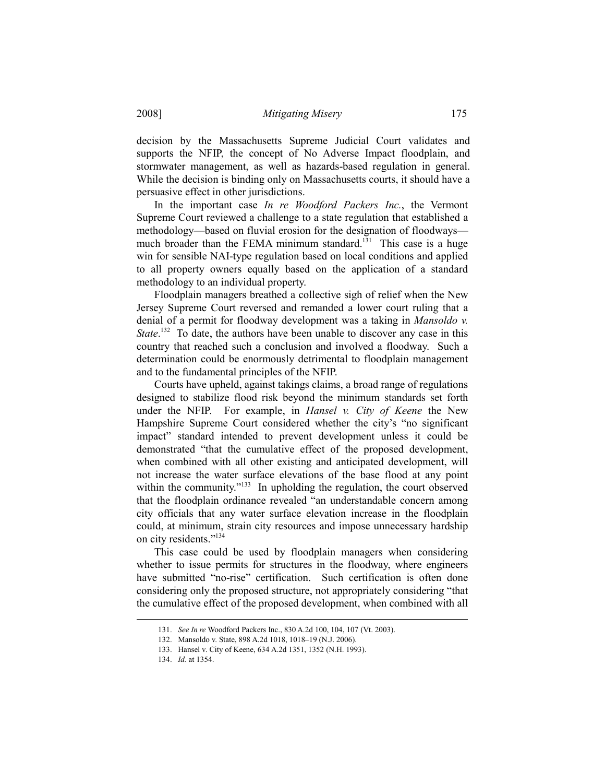decision by the Massachusetts Supreme Judicial Court validates and supports the NFIP, the concept of No Adverse Impact floodplain, and stormwater management, as well as hazards-based regulation in general. While the decision is binding only on Massachusetts courts, it should have a persuasive effect in other jurisdictions.

In the important case *In re Woodford Packers Inc.*, the Vermont Supreme Court reviewed a challenge to a state regulation that established a methodology—based on fluvial erosion for the designation of floodways much broader than the FEMA minimum standard.<sup>131</sup> This case is a huge win for sensible NAI-type regulation based on local conditions and applied to all property owners equally based on the application of a standard methodology to an individual property.

Floodplain managers breathed a collective sigh of relief when the New Jersey Supreme Court reversed and remanded a lower court ruling that a denial of a permit for floodway development was a taking in *Mansoldo v. State*.<sup>132</sup> To date, the authors have been unable to discover any case in this country that reached such a conclusion and involved a floodway. Such a determination could be enormously detrimental to floodplain management and to the fundamental principles of the NFIP.

Courts have upheld, against takings claims, a broad range of regulations designed to stabilize flood risk beyond the minimum standards set forth under the NFIP. For example, in *Hansel v. City of Keene* the New Hampshire Supreme Court considered whether the city's "no significant impact" standard intended to prevent development unless it could be demonstrated "that the cumulative effect of the proposed development, when combined with all other existing and anticipated development, will not increase the water surface elevations of the base flood at any point within the community."<sup>133</sup> In upholding the regulation, the court observed that the floodplain ordinance revealed "an understandable concern among city officials that any water surface elevation increase in the floodplain could, at minimum, strain city resources and impose unnecessary hardship on city residents."<sup>134</sup>

This case could be used by floodplain managers when considering whether to issue permits for structures in the floodway, where engineers have submitted "no-rise" certification. Such certification is often done considering only the proposed structure, not appropriately considering "that the cumulative effect of the proposed development, when combined with all

 <sup>131.</sup> *See In re* Woodford Packers Inc., 830 A.2d 100, 104, 107 (Vt. 2003).

 <sup>132.</sup> Mansoldo v. State, 898 A.2d 1018, 1018–19 (N.J. 2006).

 <sup>133.</sup> Hansel v. City of Keene, 634 A.2d 1351, 1352 (N.H. 1993).

 <sup>134.</sup> *Id.* at 1354.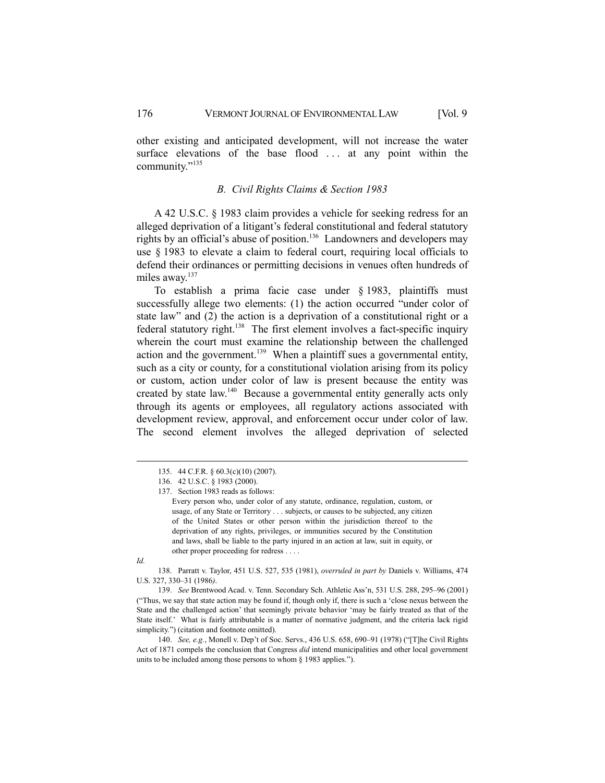other existing and anticipated development, will not increase the water surface elevations of the base flood ... at any point within the community."135

#### *B. Civil Rights Claims & Section 1983*

A 42 U.S.C. § 1983 claim provides a vehicle for seeking redress for an alleged deprivation of a litigant's federal constitutional and federal statutory rights by an official's abuse of position.136 Landowners and developers may use § 1983 to elevate a claim to federal court, requiring local officials to defend their ordinances or permitting decisions in venues often hundreds of miles away.<sup>137</sup>

To establish a prima facie case under § 1983, plaintiffs must successfully allege two elements: (1) the action occurred "under color of state law" and (2) the action is a deprivation of a constitutional right or a federal statutory right.<sup>138</sup> The first element involves a fact-specific inquiry wherein the court must examine the relationship between the challenged action and the government.<sup>139</sup> When a plaintiff sues a governmental entity, such as a city or county, for a constitutional violation arising from its policy or custom, action under color of law is present because the entity was created by state law.140 Because a governmental entity generally acts only through its agents or employees, all regulatory actions associated with development review, approval, and enforcement occur under color of law. The second element involves the alleged deprivation of selected

l

 140. *See, e.g.*, Monell v. Dep't of Soc. Servs., 436 U.S. 658, 690–91 (1978) ("[T]he Civil Rights Act of 1871 compels the conclusion that Congress *did* intend municipalities and other local government units to be included among those persons to whom § 1983 applies.").

 <sup>135. 44</sup> C.F.R. § 60.3(c)(10) (2007).

 <sup>136. 42</sup> U.S.C. § 1983 (2000).

 <sup>137.</sup> Section 1983 reads as follows:

Every person who, under color of any statute, ordinance, regulation, custom, or usage, of any State or Territory . . . subjects, or causes to be subjected, any citizen of the United States or other person within the jurisdiction thereof to the deprivation of any rights, privileges, or immunities secured by the Constitution and laws, shall be liable to the party injured in an action at law, suit in equity, or other proper proceeding for redress . . . .

*Id.*

 <sup>138.</sup> Parratt v. Taylor, 451 U.S. 527, 535 (1981), *overruled in part by* Daniels v. Williams, 474 U.S. 327, 330–31 (1986*)*.

 <sup>139.</sup> *See* Brentwood Acad. v. Tenn. Secondary Sch. Athletic Ass'n, 531 U.S. 288, 295–96 (2001) ("Thus, we say that state action may be found if, though only if, there is such a 'close nexus between the State and the challenged action' that seemingly private behavior 'may be fairly treated as that of the State itself.' What is fairly attributable is a matter of normative judgment, and the criteria lack rigid simplicity.") (citation and footnote omitted).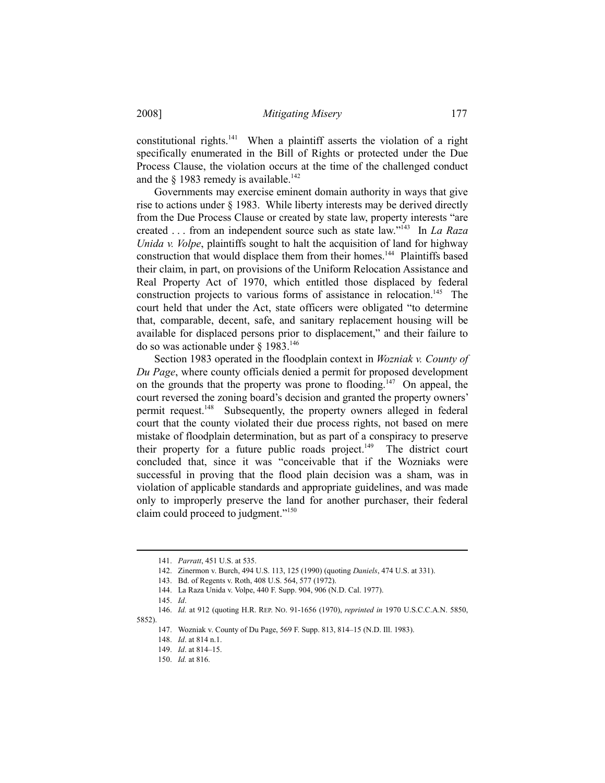constitutional rights.<sup>141</sup> When a plaintiff asserts the violation of a right specifically enumerated in the Bill of Rights or protected under the Due Process Clause, the violation occurs at the time of the challenged conduct and the  $\S$  1983 remedy is available.<sup>142</sup>

Governments may exercise eminent domain authority in ways that give rise to actions under § 1983. While liberty interests may be derived directly from the Due Process Clause or created by state law, property interests "are created . . . from an independent source such as state law."143 In *La Raza Unida v. Volpe*, plaintiffs sought to halt the acquisition of land for highway construction that would displace them from their homes.<sup>144</sup> Plaintiffs based their claim, in part, on provisions of the Uniform Relocation Assistance and Real Property Act of 1970, which entitled those displaced by federal construction projects to various forms of assistance in relocation.<sup>145</sup> The court held that under the Act, state officers were obligated "to determine that, comparable, decent, safe, and sanitary replacement housing will be available for displaced persons prior to displacement," and their failure to do so was actionable under  $\S$  1983.<sup>146</sup>

Section 1983 operated in the floodplain context in *Wozniak v. County of Du Page*, where county officials denied a permit for proposed development on the grounds that the property was prone to flooding.<sup>147</sup> On appeal, the court reversed the zoning board's decision and granted the property owners' permit request.<sup>148</sup> Subsequently, the property owners alleged in federal court that the county violated their due process rights, not based on mere mistake of floodplain determination, but as part of a conspiracy to preserve their property for a future public roads project.<sup>149</sup> The district court concluded that, since it was "conceivable that if the Wozniaks were successful in proving that the flood plain decision was a sham, was in violation of applicable standards and appropriate guidelines, and was made only to improperly preserve the land for another purchaser, their federal claim could proceed to judgment."150

 <sup>141.</sup> *Parratt*, 451 U.S. at 535.

 <sup>142.</sup> Zinermon v. Burch, 494 U.S. 113, 125 (1990) (quoting *Daniels*, 474 U.S. at 331).

 <sup>143.</sup> Bd. of Regents v. Roth, 408 U.S. 564, 577 (1972).

 <sup>144.</sup> La Raza Unida v. Volpe, 440 F. Supp. 904, 906 (N.D. Cal. 1977).

 <sup>145.</sup> *Id*.

 <sup>146.</sup> *Id.* at 912 (quoting H.R. REP. NO. 91-1656 (1970), *reprinted in* 1970 U.S.C.C.A.N. 5850, 5852).

 <sup>147.</sup> Wozniak v. County of Du Page, 569 F. Supp. 813, 814–15 (N.D. Ill. 1983).

 <sup>148.</sup> *Id*. at 814 n.1.

 <sup>149.</sup> *Id*. at 814–15.

 <sup>150.</sup> *Id.* at 816.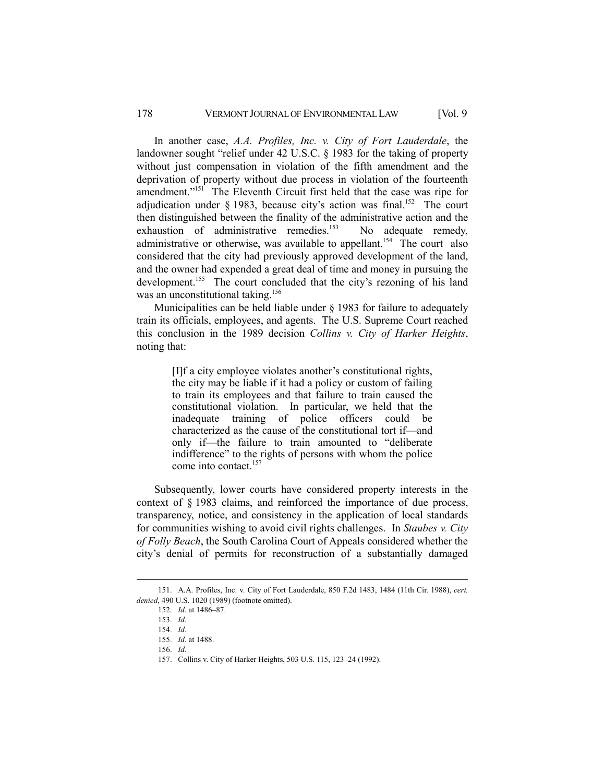In another case, *A.A. Profiles, Inc. v. City of Fort Lauderdale*, the landowner sought "relief under 42 U.S.C. § 1983 for the taking of property without just compensation in violation of the fifth amendment and the deprivation of property without due process in violation of the fourteenth amendment."<sup>151</sup> The Eleventh Circuit first held that the case was ripe for adjudication under § 1983, because city's action was final.<sup>152</sup> The court then distinguished between the finality of the administrative action and the exhaustion of administrative remedies.<sup>153</sup> No adequate remedy, administrative or otherwise, was available to appellant.<sup>154</sup> The court also considered that the city had previously approved development of the land, and the owner had expended a great deal of time and money in pursuing the development.<sup>155</sup> The court concluded that the city's rezoning of his land was an unconstitutional taking.<sup>156</sup>

Municipalities can be held liable under § 1983 for failure to adequately train its officials, employees, and agents. The U.S. Supreme Court reached this conclusion in the 1989 decision *Collins v. City of Harker Heights*, noting that:

> [I]f a city employee violates another's constitutional rights, the city may be liable if it had a policy or custom of failing to train its employees and that failure to train caused the constitutional violation. In particular, we held that the inadequate training of police officers could be characterized as the cause of the constitutional tort if—and only if—the failure to train amounted to "deliberate indifference" to the rights of persons with whom the police come into contact.<sup>157</sup>

Subsequently, lower courts have considered property interests in the context of § 1983 claims, and reinforced the importance of due process, transparency, notice, and consistency in the application of local standards for communities wishing to avoid civil rights challenges. In *Staubes v. City of Folly Beach*, the South Carolina Court of Appeals considered whether the city's denial of permits for reconstruction of a substantially damaged

 <sup>151.</sup> A.A. Profiles, Inc. v. City of Fort Lauderdale, 850 F.2d 1483, 1484 (11th Cir. 1988), *cert. denied*, 490 U.S. 1020 (1989) (footnote omitted).

 <sup>152.</sup> *Id*. at 1486–87.

 <sup>153.</sup> *Id*.

 <sup>154.</sup> *Id*.

 <sup>155.</sup> *Id*. at 1488.

 <sup>156.</sup> *Id*.

 <sup>157.</sup> Collins v. City of Harker Heights, 503 U.S. 115, 123–24 (1992).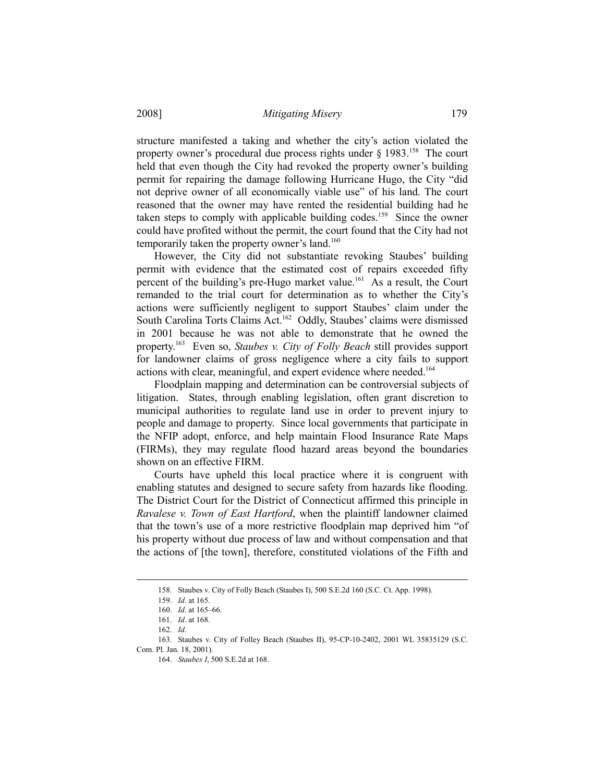structure manifested a taking and whether the city's action violated the property owner's procedural due process rights under  $\S 1983$ <sup>158</sup>. The court held that even though the City had revoked the property owner's building permit for repairing the damage following Hurricane Hugo, the City "did not deprive owner of all economically viable use" of his land. The court reasoned that the owner may have rented the residential building had he taken steps to comply with applicable building codes.<sup>159</sup> Since the owner could have profited without the permit, the court found that the City had not temporarily taken the property owner's land.<sup>160</sup>

However, the City did not substantiate revoking Staubes' building permit with evidence that the estimated cost of repairs exceeded fifty percent of the building's pre-Hugo market value.<sup>161</sup> As a result, the Court remanded to the trial court for determination as to whether the City's actions were sufficiently negligent to support Staubes' claim under the South Carolina Torts Claims Act.<sup>162</sup> Oddly, Staubes' claims were dismissed in 2001 because he was not able to demonstrate that he owned the property.163 Even so, *Staubes v. City of Folly Beach* still provides support for landowner claims of gross negligence where a city fails to support actions with clear, meaningful, and expert evidence where needed.<sup>164</sup>

Floodplain mapping and determination can be controversial subjects of litigation. States, through enabling legislation, often grant discretion to municipal authorities to regulate land use in order to prevent injury to people and damage to property. Since local governments that participate in the NFIP adopt, enforce, and help maintain Flood Insurance Rate Maps (FIRMs), they may regulate flood hazard areas beyond the boundaries shown on an effective FIRM.

Courts have upheld this local practice where it is congruent with enabling statutes and designed to secure safety from hazards like flooding. The District Court for the District of Connecticut affirmed this principle in *Ravalese v. Town of East Hartford*, when the plaintiff landowner claimed that the town's use of a more restrictive floodplain map deprived him "of his property without due process of law and without compensation and that the actions of [the town], therefore, constituted violations of the Fifth and

 <sup>158.</sup> Staubes v. City of Folly Beach (Staubes I), 500 S.E.2d 160 (S.C. Ct. App. 1998).

 <sup>159.</sup> *Id*. at 165.

 <sup>160.</sup> *Id*. at 165–66.

 <sup>161.</sup> *Id*. at 168.

 <sup>162.</sup> *Id*.

 <sup>163.</sup> Staubes v. City of Folley Beach (Staubes II), 95-CP-10-2402, 2001 WL 35835129 (S.C. Com. Pl. Jan. 18, 2001).

 <sup>164.</sup> *Staubes I*, 500 S.E.2d at 168.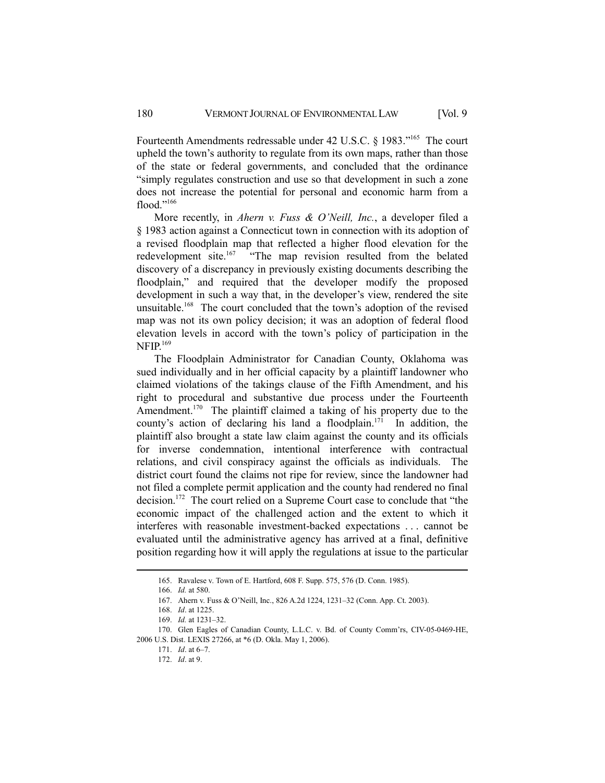Fourteenth Amendments redressable under 42 U.S.C. § 1983."165 The court upheld the town's authority to regulate from its own maps, rather than those of the state or federal governments, and concluded that the ordinance "simply regulates construction and use so that development in such a zone does not increase the potential for personal and economic harm from a flood $"166"$ 

More recently, in *Ahern v. Fuss & O'Neill, Inc.*, a developer filed a § 1983 action against a Connecticut town in connection with its adoption of a revised floodplain map that reflected a higher flood elevation for the redevelopment site.<sup>167</sup> "The map revision resulted from the belated discovery of a discrepancy in previously existing documents describing the floodplain," and required that the developer modify the proposed development in such a way that, in the developer's view, rendered the site unsuitable.<sup>168</sup> The court concluded that the town's adoption of the revised map was not its own policy decision; it was an adoption of federal flood elevation levels in accord with the town's policy of participation in the NFIP.<sup>169</sup>

The Floodplain Administrator for Canadian County, Oklahoma was sued individually and in her official capacity by a plaintiff landowner who claimed violations of the takings clause of the Fifth Amendment, and his right to procedural and substantive due process under the Fourteenth Amendment.<sup>170</sup> The plaintiff claimed a taking of his property due to the county's action of declaring his land a floodplain.<sup>171</sup> In addition, the plaintiff also brought a state law claim against the county and its officials for inverse condemnation, intentional interference with contractual relations, and civil conspiracy against the officials as individuals. The district court found the claims not ripe for review, since the landowner had not filed a complete permit application and the county had rendered no final decision.172 The court relied on a Supreme Court case to conclude that "the economic impact of the challenged action and the extent to which it interferes with reasonable investment-backed expectations . . . cannot be evaluated until the administrative agency has arrived at a final, definitive position regarding how it will apply the regulations at issue to the particular

 <sup>165.</sup> Ravalese v. Town of E. Hartford, 608 F. Supp. 575, 576 (D. Conn. 1985).

 <sup>166.</sup> *Id.* at 580.

 <sup>167.</sup> Ahern v. Fuss & O'Neill, Inc., 826 A.2d 1224, 1231–32 (Conn. App. Ct. 2003).

 <sup>168.</sup> *Id*. at 1225.

 <sup>169.</sup> *Id.* at 1231–32.

 <sup>170.</sup> Glen Eagles of Canadian County, L.L.C. v. Bd. of County Comm'rs, CIV-05-0469-HE, 2006 U.S. Dist. LEXIS 27266, at \*6 (D. Okla. May 1, 2006).

 <sup>171.</sup> *Id*. at 6–7.

 <sup>172.</sup> *Id*. at 9.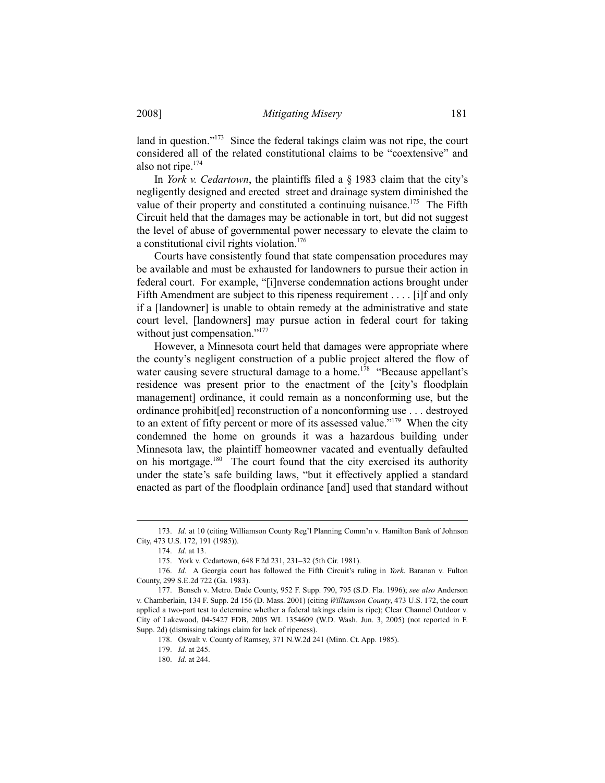land in question."<sup>173</sup> Since the federal takings claim was not ripe, the court considered all of the related constitutional claims to be "coextensive" and also not ripe.174

In *York v. Cedartown*, the plaintiffs filed a § 1983 claim that the city's negligently designed and erected street and drainage system diminished the value of their property and constituted a continuing nuisance.<sup>175</sup> The Fifth Circuit held that the damages may be actionable in tort, but did not suggest the level of abuse of governmental power necessary to elevate the claim to a constitutional civil rights violation.<sup>176</sup>

Courts have consistently found that state compensation procedures may be available and must be exhausted for landowners to pursue their action in federal court. For example, "[i]nverse condemnation actions brought under Fifth Amendment are subject to this ripeness requirement . . . . [i]f and only if a [landowner] is unable to obtain remedy at the administrative and state court level, [landowners] may pursue action in federal court for taking without just compensation."<sup>177</sup>

However, a Minnesota court held that damages were appropriate where the county's negligent construction of a public project altered the flow of water causing severe structural damage to a home.<sup>178</sup> "Because appellant's residence was present prior to the enactment of the [city's floodplain management] ordinance, it could remain as a nonconforming use, but the ordinance prohibit[ed] reconstruction of a nonconforming use . . . destroyed to an extent of fifty percent or more of its assessed value."179 When the city condemned the home on grounds it was a hazardous building under Minnesota law, the plaintiff homeowner vacated and eventually defaulted on his mortgage.180 The court found that the city exercised its authority under the state's safe building laws, "but it effectively applied a standard enacted as part of the floodplain ordinance [and] used that standard without

l

178. Oswalt v. County of Ramsey, 371 N.W.2d 241 (Minn. Ct. App. 1985).

 <sup>173.</sup> *Id.* at 10 (citing Williamson County Reg'l Planning Comm'n v. Hamilton Bank of Johnson City, 473 U.S. 172, 191 (1985)).

 <sup>174.</sup> *Id*. at 13.

 <sup>175.</sup> York v. Cedartown, 648 F.2d 231, 231–32 (5th Cir. 1981).

 <sup>176.</sup> *Id*. A Georgia court has followed the Fifth Circuit's ruling in *York*. Baranan v. Fulton County, 299 S.E.2d 722 (Ga. 1983).

 <sup>177.</sup> Bensch v. Metro. Dade County, 952 F. Supp. 790, 795 (S.D. Fla. 1996); *see also* Anderson v. Chamberlain, 134 F. Supp. 2d 156 (D. Mass. 2001) (citing *Williamson County*, 473 U.S. 172, the court applied a two-part test to determine whether a federal takings claim is ripe); Clear Channel Outdoor v. City of Lakewood, 04-5427 FDB, 2005 WL 1354609 (W.D. Wash. Jun. 3, 2005) (not reported in F. Supp. 2d) (dismissing takings claim for lack of ripeness).

 <sup>179.</sup> *Id*. at 245.

 <sup>180.</sup> *Id.* at 244.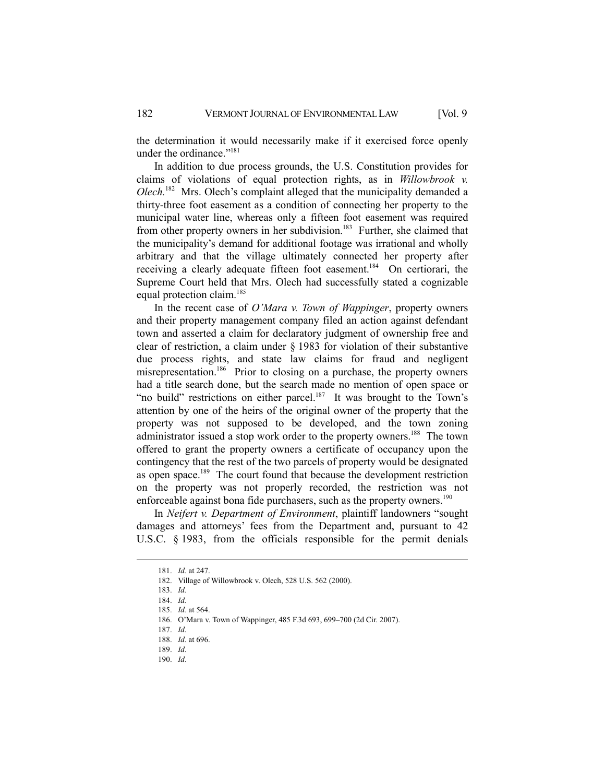the determination it would necessarily make if it exercised force openly under the ordinance."<sup>181</sup>

In addition to due process grounds, the U.S. Constitution provides for claims of violations of equal protection rights, as in *Willowbrook v. Olech*.<sup>182</sup> Mrs. Olech's complaint alleged that the municipality demanded a thirty-three foot easement as a condition of connecting her property to the municipal water line, whereas only a fifteen foot easement was required from other property owners in her subdivision.<sup>183</sup> Further, she claimed that the municipality's demand for additional footage was irrational and wholly arbitrary and that the village ultimately connected her property after receiving a clearly adequate fifteen foot easement.<sup>184</sup> On certiorari, the Supreme Court held that Mrs. Olech had successfully stated a cognizable equal protection claim.<sup>185</sup>

In the recent case of *O'Mara v. Town of Wappinger*, property owners and their property management company filed an action against defendant town and asserted a claim for declaratory judgment of ownership free and clear of restriction, a claim under § 1983 for violation of their substantive due process rights, and state law claims for fraud and negligent misrepresentation.<sup>186</sup> Prior to closing on a purchase, the property owners had a title search done, but the search made no mention of open space or "no build" restrictions on either parcel.<sup>187</sup> It was brought to the Town's attention by one of the heirs of the original owner of the property that the property was not supposed to be developed, and the town zoning administrator issued a stop work order to the property owners.<sup>188</sup> The town offered to grant the property owners a certificate of occupancy upon the contingency that the rest of the two parcels of property would be designated as open space.189 The court found that because the development restriction on the property was not properly recorded, the restriction was not enforceable against bona fide purchasers, such as the property owners.<sup>190</sup>

In *Neifert v. Department of Environment*, plaintiff landowners "sought damages and attorneys' fees from the Department and, pursuant to 42 U.S.C. § 1983, from the officials responsible for the permit denials

 <sup>181.</sup> *Id.* at 247.

 <sup>182.</sup> Village of Willowbrook v. Olech, 528 U.S. 562 (2000).

 <sup>183.</sup> *Id.*

 <sup>184.</sup> *Id.*

 <sup>185.</sup> *Id.* at 564.

 <sup>186.</sup> O'Mara v. Town of Wappinger, 485 F.3d 693, 699–700 (2d Cir. 2007).

 <sup>187.</sup> *Id*.

 <sup>188.</sup> *Id*. at 696.

 <sup>189.</sup> *Id*.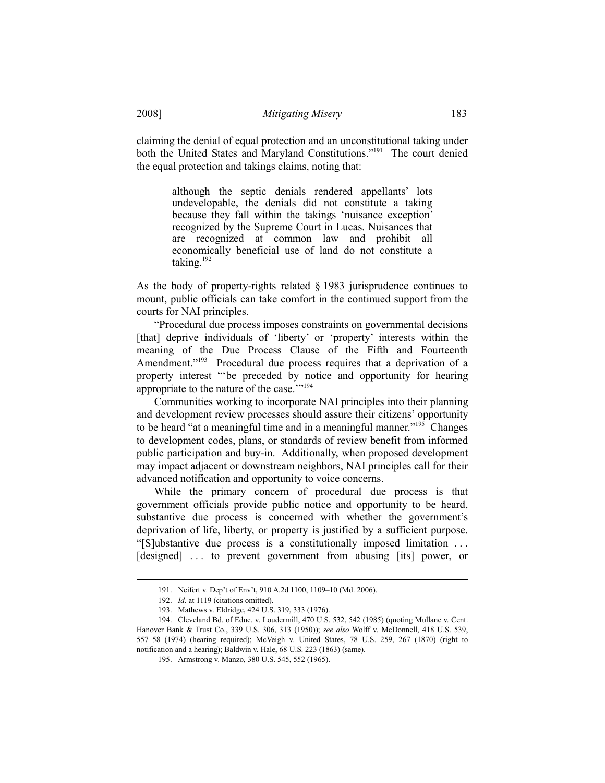claiming the denial of equal protection and an unconstitutional taking under both the United States and Maryland Constitutions."191 The court denied the equal protection and takings claims, noting that:

> although the septic denials rendered appellants' lots undevelopable, the denials did not constitute a taking because they fall within the takings 'nuisance exception' recognized by the Supreme Court in Lucas. Nuisances that are recognized at common law and prohibit all economically beneficial use of land do not constitute a taking.192

As the body of property-rights related § 1983 jurisprudence continues to mount, public officials can take comfort in the continued support from the courts for NAI principles.

"Procedural due process imposes constraints on governmental decisions [that] deprive individuals of 'liberty' or 'property' interests within the meaning of the Due Process Clause of the Fifth and Fourteenth Amendment."<sup>193</sup> Procedural due process requires that a deprivation of a property interest "'be preceded by notice and opportunity for hearing appropriate to the nature of the case."<sup>194</sup>

Communities working to incorporate NAI principles into their planning and development review processes should assure their citizens' opportunity to be heard "at a meaningful time and in a meaningful manner."195 Changes to development codes, plans, or standards of review benefit from informed public participation and buy-in. Additionally, when proposed development may impact adjacent or downstream neighbors, NAI principles call for their advanced notification and opportunity to voice concerns.

While the primary concern of procedural due process is that government officials provide public notice and opportunity to be heard, substantive due process is concerned with whether the government's deprivation of life, liberty, or property is justified by a sufficient purpose. "[S]ubstantive due process is a constitutionally imposed limitation . . . [designed] ... to prevent government from abusing [its] power, or

 <sup>191.</sup> Neifert v. Dep't of Env't, 910 A.2d 1100, 1109–10 (Md. 2006).

 <sup>192.</sup> *Id.* at 1119 (citations omitted).

 <sup>193.</sup> Mathews v. Eldridge, 424 U.S. 319, 333 (1976).

 <sup>194.</sup> Cleveland Bd. of Educ. v. Loudermill, 470 U.S. 532, 542 (1985) (quoting Mullane v. Cent. Hanover Bank & Trust Co., 339 U.S. 306, 313 (1950)); *see also* Wolff v. McDonnell, 418 U.S. 539, 557–58 (1974) (hearing required); McVeigh v. United States, 78 U.S. 259, 267 (1870) (right to notification and a hearing); Baldwin v. Hale, 68 U.S. 223 (1863) (same).

 <sup>195.</sup> Armstrong v. Manzo, 380 U.S. 545, 552 (1965).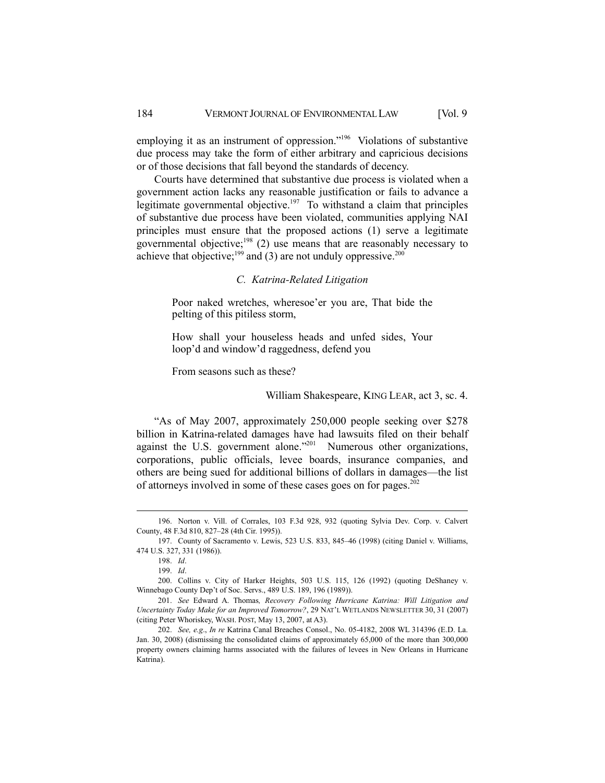employing it as an instrument of oppression."<sup>196</sup> Violations of substantive due process may take the form of either arbitrary and capricious decisions or of those decisions that fall beyond the standards of decency.

Courts have determined that substantive due process is violated when a government action lacks any reasonable justification or fails to advance a legitimate governmental objective.<sup>197</sup> To withstand a claim that principles of substantive due process have been violated, communities applying NAI principles must ensure that the proposed actions (1) serve a legitimate governmental objective; $198$  (2) use means that are reasonably necessary to achieve that objective;<sup>199</sup> and (3) are not unduly oppressive.<sup>200</sup>

#### *C. Katrina-Related Litigation*

Poor naked wretches, wheresoe'er you are, That bide the pelting of this pitiless storm,

How shall your houseless heads and unfed sides, Your loop'd and window'd raggedness, defend you

From seasons such as these?

#### William Shakespeare, KING LEAR, act 3, sc. 4.

"As of May 2007, approximately 250,000 people seeking over \$278 billion in Katrina-related damages have had lawsuits filed on their behalf against the U.S. government alone."<sup>201</sup> Numerous other organizations. corporations, public officials, levee boards, insurance companies, and others are being sued for additional billions of dollars in damages—the list of attorneys involved in some of these cases goes on for pages.<sup>202</sup>

 <sup>196.</sup> Norton v. Vill. of Corrales, 103 F.3d 928, 932 (quoting Sylvia Dev. Corp. v. Calvert County, 48 F.3d 810, 827–28 (4th Cir. 1995)).

 <sup>197.</sup> County of Sacramento v. Lewis, 523 U.S. 833, 845–46 (1998) (citing Daniel v. Williams, 474 U.S. 327, 331 (1986)).

 <sup>198.</sup> *Id*.

 <sup>199.</sup> *Id*.

 <sup>200.</sup> Collins v. City of Harker Heights, 503 U.S. 115, 126 (1992) (quoting DeShaney v. Winnebago County Dep't of Soc. Servs., 489 U.S. 189, 196 (1989)).

 <sup>201.</sup> *See* Edward A. Thomas*, Recovery Following Hurricane Katrina: Will Litigation and Uncertainty Today Make for an Improved Tomorrow?*, 29 NAT'L WETLANDS NEWSLETTER 30, 31 (2007) (citing Peter Whoriskey, WASH. POST, May 13, 2007, at A3).

 <sup>202.</sup> *See, e.g*., *In re* Katrina Canal Breaches Consol., No. 05-4182, 2008 WL 314396 (E.D. La. Jan. 30, 2008) (dismissing the consolidated claims of approximately 65,000 of the more than 300,000 property owners claiming harms associated with the failures of levees in New Orleans in Hurricane Katrina).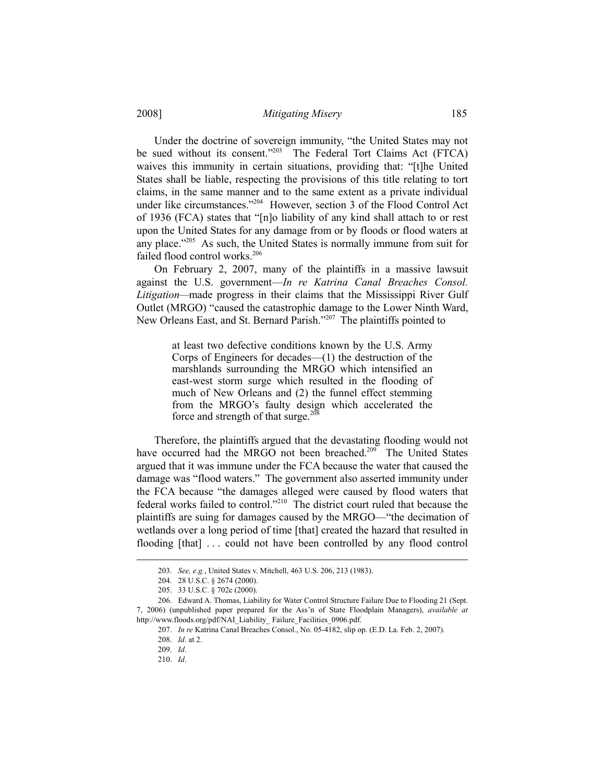Under the doctrine of sovereign immunity, "the United States may not be sued without its consent."<sup>203</sup> The Federal Tort Claims Act (FTCA) waives this immunity in certain situations, providing that: "[t]he United States shall be liable, respecting the provisions of this title relating to tort claims, in the same manner and to the same extent as a private individual under like circumstances."204 However, section 3 of the Flood Control Act of 1936 (FCA) states that "[n]o liability of any kind shall attach to or rest upon the United States for any damage from or by floods or flood waters at any place."205 As such, the United States is normally immune from suit for failed flood control works.<sup>206</sup>

On February 2, 2007, many of the plaintiffs in a massive lawsuit against the U.S. government—*In re Katrina Canal Breaches Consol. Litigation—*made progress in their claims that the Mississippi River Gulf Outlet (MRGO) "caused the catastrophic damage to the Lower Ninth Ward, New Orleans East, and St. Bernard Parish."207 The plaintiffs pointed to

> at least two defective conditions known by the U.S. Army Corps of Engineers for decades—(1) the destruction of the marshlands surrounding the MRGO which intensified an east-west storm surge which resulted in the flooding of much of New Orleans and (2) the funnel effect stemming from the MRGO's faulty design which accelerated the force and strength of that surge. $208$

Therefore, the plaintiffs argued that the devastating flooding would not have occurred had the MRGO not been breached.<sup>209</sup> The United States argued that it was immune under the FCA because the water that caused the damage was "flood waters." The government also asserted immunity under the FCA because "the damages alleged were caused by flood waters that federal works failed to control."210 The district court ruled that because the plaintiffs are suing for damages caused by the MRGO—"the decimation of wetlands over a long period of time [that] created the hazard that resulted in flooding [that] ... could not have been controlled by any flood control

 <sup>203.</sup> *See, e.g.*, United States v. Mitchell, 463 U.S. 206, 213 (1983).

 <sup>204. 28</sup> U.S.C. § 2674 (2000).

 <sup>205. 33</sup> U.S.C. § 702c (2000).

 <sup>206.</sup> Edward A. Thomas, Liability for Water Control Structure Failure Due to Flooding 21 (Sept. 7, 2006) (unpublished paper prepared for the Ass'n of State Floodplain Managers), *available at* http://www.floods.org/pdf/NAI\_Liability\_ Failure\_Facilities\_0906.pdf.

 <sup>207.</sup> *In re* Katrina Canal Breaches Consol., No. 05-4182, slip op. (E.D. La. Feb. 2, 2007).

 <sup>208.</sup> *Id*. at 2.

 <sup>209.</sup> *Id*.

 <sup>210.</sup> *Id*.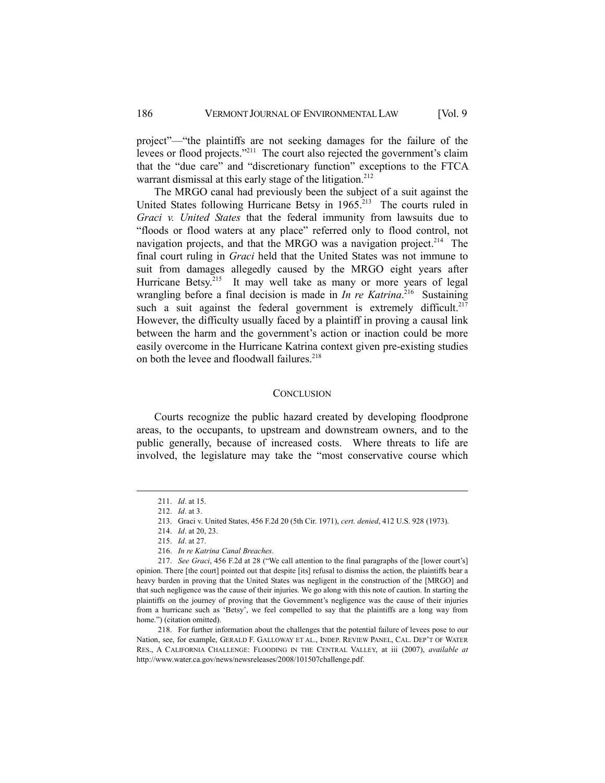project"—"the plaintiffs are not seeking damages for the failure of the levees or flood projects."211 The court also rejected the government's claim that the "due care" and "discretionary function" exceptions to the FTCA warrant dismissal at this early stage of the litigation.<sup>212</sup>

The MRGO canal had previously been the subject of a suit against the United States following Hurricane Betsy in 1965.<sup>213</sup> The courts ruled in *Graci v. United States* that the federal immunity from lawsuits due to "floods or flood waters at any place" referred only to flood control, not navigation projects, and that the MRGO was a navigation project.<sup>214</sup> The final court ruling in *Graci* held that the United States was not immune to suit from damages allegedly caused by the MRGO eight years after Hurricane Betsy.<sup>215</sup> It may well take as many or more years of legal wrangling before a final decision is made in *In re Katrina*.<sup>216</sup> Sustaining such a suit against the federal government is extremely difficult.<sup>217</sup> However, the difficulty usually faced by a plaintiff in proving a causal link between the harm and the government's action or inaction could be more easily overcome in the Hurricane Katrina context given pre-existing studies on both the levee and floodwall failures.<sup>218</sup>

#### **CONCLUSION**

Courts recognize the public hazard created by developing floodprone areas, to the occupants, to upstream and downstream owners, and to the public generally, because of increased costs. Where threats to life are involved, the legislature may take the "most conservative course which

 <sup>211.</sup> *Id*. at 15.

 <sup>212.</sup> *Id*. at 3.

 <sup>213.</sup> Graci v. United States, 456 F.2d 20 (5th Cir. 1971), *cert. denied*, 412 U.S. 928 (1973).

 <sup>214.</sup> *Id*. at 20, 23.

 <sup>215.</sup> *Id*. at 27.

 <sup>216.</sup> *In re Katrina Canal Breaches*.

 <sup>217.</sup> *See Graci*, 456 F.2d at 28 ("We call attention to the final paragraphs of the [lower court's] opinion. There [the court] pointed out that despite [its] refusal to dismiss the action, the plaintiffs bear a heavy burden in proving that the United States was negligent in the construction of the [MRGO] and that such negligence was the cause of their injuries. We go along with this note of caution. In starting the plaintiffs on the journey of proving that the Government's negligence was the cause of their injuries from a hurricane such as 'Betsy', we feel compelled to say that the plaintiffs are a long way from home.") (citation omitted).

 <sup>218.</sup> For further information about the challenges that the potential failure of levees pose to our Nation, see, for example, GERALD F. GALLOWAY ET AL., INDEP. REVIEW PANEL, CAL. DEP'T OF WATER RES., A CALIFORNIA CHALLENGE: FLOODING IN THE CENTRAL VALLEY, at iii (2007), *available at* http://www.water.ca.gov/news/newsreleases/2008/101507challenge.pdf.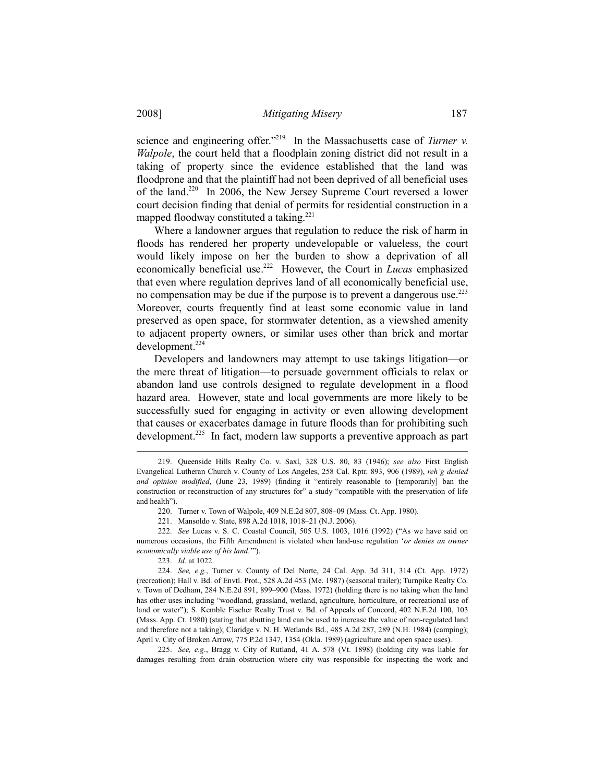science and engineering offer.<sup>"219</sup> In the Massachusetts case of *Turner v. Walpole*, the court held that a floodplain zoning district did not result in a taking of property since the evidence established that the land was floodprone and that the plaintiff had not been deprived of all beneficial uses of the land.220 In 2006, the New Jersey Supreme Court reversed a lower court decision finding that denial of permits for residential construction in a mapped floodway constituted a taking.<sup>221</sup>

Where a landowner argues that regulation to reduce the risk of harm in floods has rendered her property undevelopable or valueless, the court would likely impose on her the burden to show a deprivation of all economically beneficial use.222 However, the Court in *Lucas* emphasized that even where regulation deprives land of all economically beneficial use, no compensation may be due if the purpose is to prevent a dangerous use.<sup>223</sup> Moreover, courts frequently find at least some economic value in land preserved as open space, for stormwater detention, as a viewshed amenity to adjacent property owners, or similar uses other than brick and mortar development.<sup>224</sup>

Developers and landowners may attempt to use takings litigation—or the mere threat of litigation—to persuade government officials to relax or abandon land use controls designed to regulate development in a flood hazard area. However, state and local governments are more likely to be successfully sued for engaging in activity or even allowing development that causes or exacerbates damage in future floods than for prohibiting such development.<sup>225</sup> In fact, modern law supports a preventive approach as part

 $\overline{\phantom{a}}$ 

 225. *See, e.g*., Bragg v. City of Rutland, 41 A. 578 (Vt. 1898) (holding city was liable for damages resulting from drain obstruction where city was responsible for inspecting the work and

 <sup>219.</sup> Queenside Hills Realty Co. v. Saxl, 328 U.S. 80, 83 (1946); *see also* First English Evangelical Lutheran Church v. County of Los Angeles, 258 Cal. Rptr. 893, 906 (1989), *reh'g denied and opinion modified*, (June 23, 1989) (finding it "entirely reasonable to [temporarily] ban the construction or reconstruction of any structures for" a study "compatible with the preservation of life and health").

 <sup>220.</sup> Turner v. Town of Walpole, 409 N.E.2d 807, 808–09 (Mass. Ct. App. 1980).

 <sup>221.</sup> Mansoldo v. State, 898 A.2d 1018, 1018–21 (N.J. 2006).

 <sup>222.</sup> *See* Lucas v. S. C. Coastal Council, 505 U.S. 1003, 1016 (1992) ("As we have said on numerous occasions, the Fifth Amendment is violated when land-use regulation '*or denies an owner economically viable use of his land*.'").

 <sup>223.</sup> *Id.* at 1022.

 <sup>224.</sup> *See, e.g.*, Turner v. County of Del Norte, 24 Cal. App. 3d 311, 314 (Ct. App. 1972) (recreation); Hall v. Bd. of Envtl. Prot., 528 A.2d 453 (Me. 1987) (seasonal trailer); Turnpike Realty Co. v. Town of Dedham, 284 N.E.2d 891, 899–900 (Mass. 1972) (holding there is no taking when the land has other uses including "woodland, grassland, wetland, agriculture, horticulture, or recreational use of land or water"); S. Kemble Fischer Realty Trust v. Bd. of Appeals of Concord, 402 N.E.2d 100, 103 (Mass. App. Ct. 1980) (stating that abutting land can be used to increase the value of non-regulated land and therefore not a taking); Claridge v. N. H. Wetlands Bd., 485 A.2d 287, 289 (N.H. 1984) (camping); April v. City of Broken Arrow, 775 P.2d 1347, 1354 (Okla. 1989) (agriculture and open space uses).